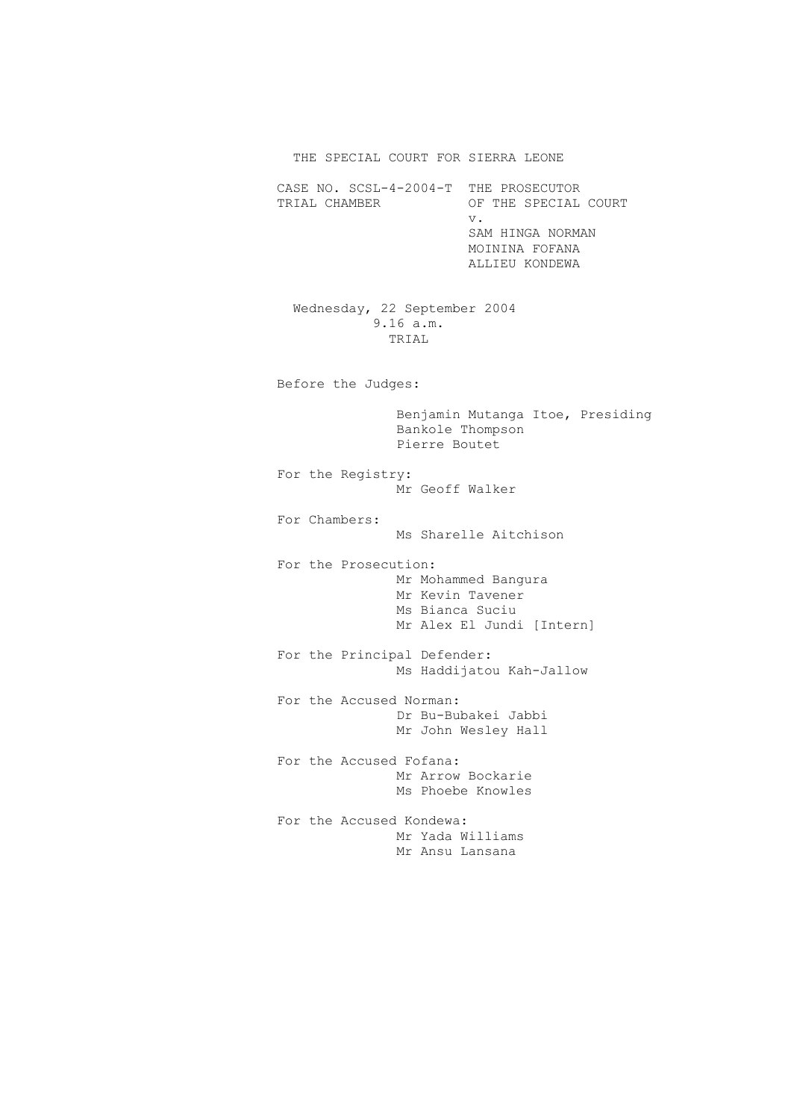THE SPECIAL COURT FOR SIERRA LEONE

CASE NO. SCSL-4-2004-T THE PROSECUTOR<br>TRIAL CHAMBER OF THE SPECIAL OF THE SPECIAL COURT v. SAM HINGA NORMAN MOININA FOFANA ALLIEU KONDEWA

> Wednesday, 22 September 2004 9.16 a.m. TRIAL

Before the Judges:

 Benjamin Mutanga Itoe, Presiding Bankole Thompson Pierre Boutet

 For the Registry: Mr Geoff Walker

 For Chambers: Ms Sharelle Aitchison

 For the Prosecution: Mr Mohammed Bangura Mr Kevin Tavener Ms Bianca Suciu Mr Alex El Jundi [Intern]

 For the Principal Defender: Ms Haddijatou Kah-Jallow

 For the Accused Norman: Dr Bu-Bubakei Jabbi Mr John Wesley Hall

 For the Accused Fofana: Mr Arrow Bockarie Ms Phoebe Knowles

 For the Accused Kondewa: Mr Yada Williams Mr Ansu Lansana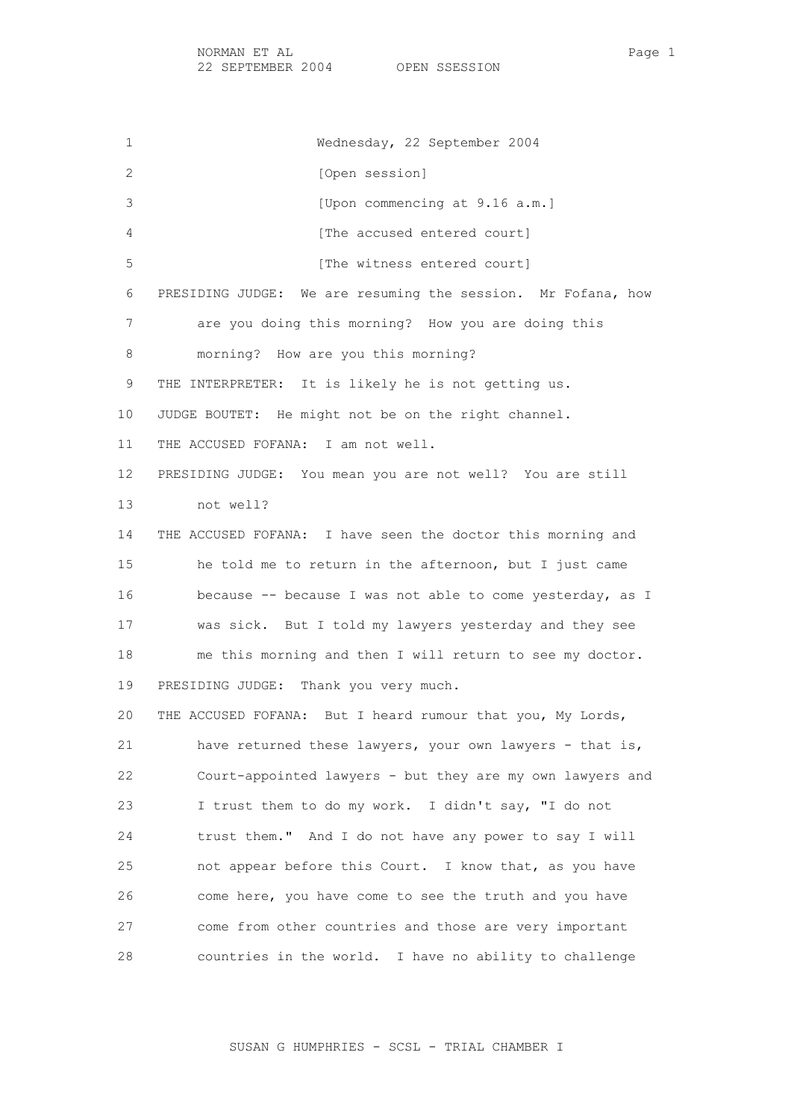1 Wednesday, 22 September 2004 2 [Open session] 3 [Upon commencing at 9.16 a.m.] 4 **Example 2** [The accused entered court] 5 [The witness entered court] 6 PRESIDING JUDGE: We are resuming the session. Mr Fofana, how 7 are you doing this morning? How you are doing this 8 morning? How are you this morning? 9 THE INTERPRETER: It is likely he is not getting us. 10 JUDGE BOUTET: He might not be on the right channel. 11 THE ACCUSED FOFANA: I am not well. 12 PRESIDING JUDGE: You mean you are not well? You are still 13 not well? 14 THE ACCUSED FOFANA: I have seen the doctor this morning and 15 he told me to return in the afternoon, but I just came 16 because -- because I was not able to come yesterday, as I 17 was sick. But I told my lawyers yesterday and they see 18 me this morning and then I will return to see my doctor. 19 PRESIDING JUDGE: Thank you very much. 20 THE ACCUSED FOFANA: But I heard rumour that you, My Lords, 21 have returned these lawyers, your own lawyers - that is, 22 Court-appointed lawyers - but they are my own lawyers and 23 I trust them to do my work. I didn't say, "I do not 24 trust them." And I do not have any power to say I will 25 not appear before this Court. I know that, as you have 26 come here, you have come to see the truth and you have 27 come from other countries and those are very important 28 countries in the world. I have no ability to challenge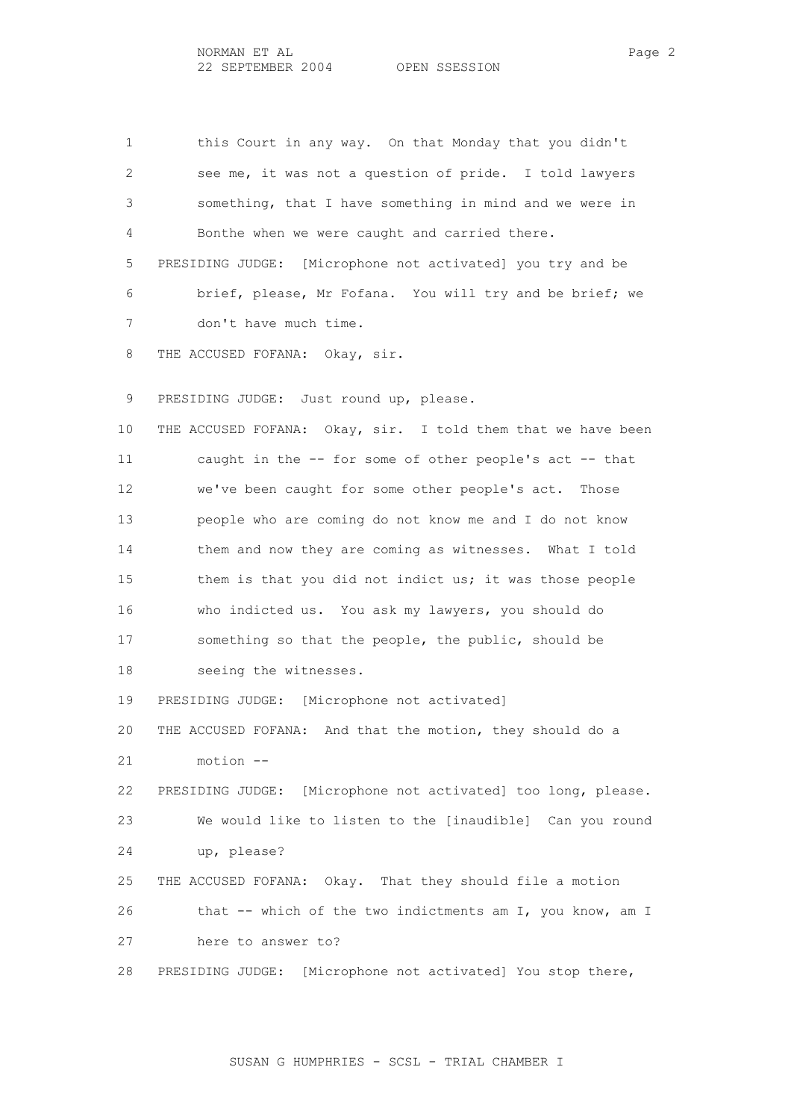1 this Court in any way. On that Monday that you didn't 2 see me, it was not a question of pride. I told lawyers 3 something, that I have something in mind and we were in 4 Bonthe when we were caught and carried there. 5 PRESIDING JUDGE: [Microphone not activated] you try and be 6 brief, please, Mr Fofana. You will try and be brief; we 7 don't have much time. 8 THE ACCUSED FOFANA: Okay, sir.

9 PRESIDING JUDGE: Just round up, please.

 10 THE ACCUSED FOFANA: Okay, sir. I told them that we have been 11 caught in the -- for some of other people's act -- that 12 we've been caught for some other people's act. Those 13 people who are coming do not know me and I do not know 14 them and now they are coming as witnesses. What I told 15 them is that you did not indict us; it was those people 16 who indicted us. You ask my lawyers, you should do 17 something so that the people, the public, should be 18 seeing the witnesses.

19 PRESIDING JUDGE: [Microphone not activated]

 20 THE ACCUSED FOFANA: And that the motion, they should do a 21 motion --

 22 PRESIDING JUDGE: [Microphone not activated] too long, please. 23 We would like to listen to the [inaudible] Can you round 24 up, please?

 25 THE ACCUSED FOFANA: Okay. That they should file a motion 26 that -- which of the two indictments am I, you know, am I 27 here to answer to?

28 PRESIDING JUDGE: [Microphone not activated] You stop there,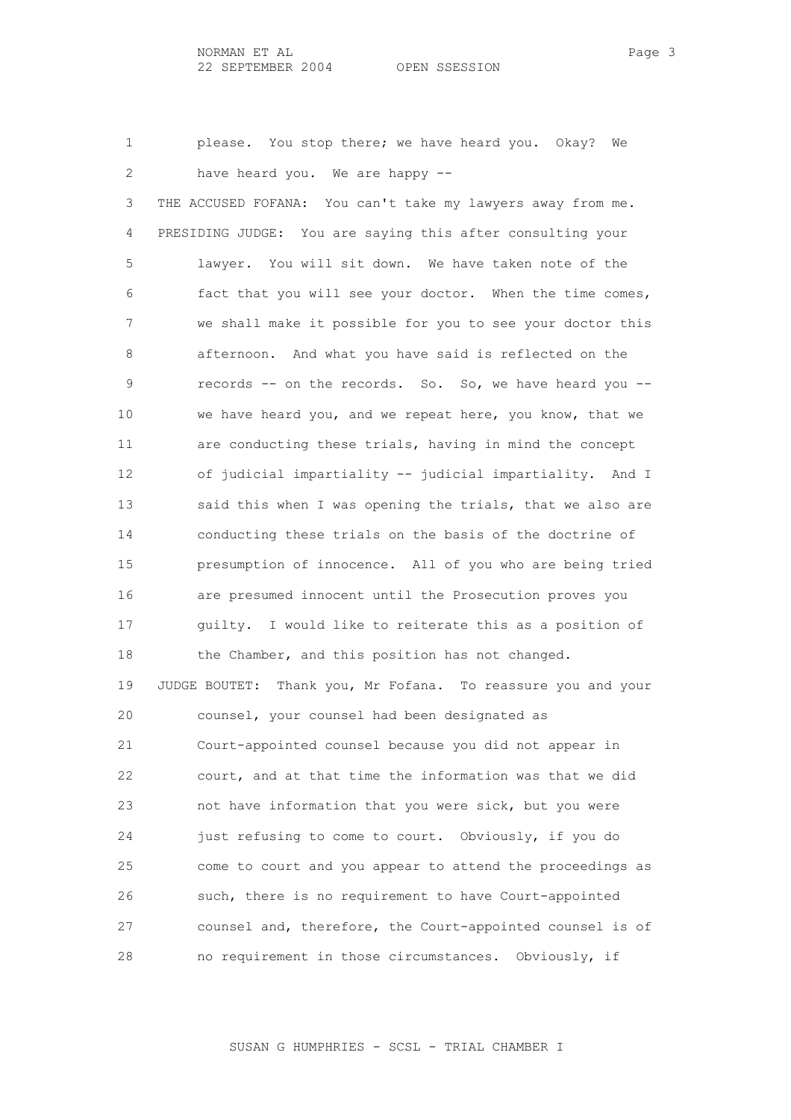1 please. You stop there; we have heard you. Okay? We 2 have heard you. We are happy -- 3 THE ACCUSED FOFANA: You can't take my lawyers away from me. 4 PRESIDING JUDGE: You are saying this after consulting your 5 lawyer. You will sit down. We have taken note of the 6 fact that you will see your doctor. When the time comes, 7 we shall make it possible for you to see your doctor this 8 afternoon. And what you have said is reflected on the 9 records -- on the records. So. So, we have heard you -- 10 we have heard you, and we repeat here, you know, that we 11 are conducting these trials, having in mind the concept 12 of judicial impartiality -- judicial impartiality. And I 13 said this when I was opening the trials, that we also are 14 conducting these trials on the basis of the doctrine of 15 presumption of innocence. All of you who are being tried 16 are presumed innocent until the Prosecution proves you 17 guilty. I would like to reiterate this as a position of 18 the Chamber, and this position has not changed. 19 JUDGE BOUTET: Thank you, Mr Fofana. To reassure you and your 20 counsel, your counsel had been designated as 21 Court-appointed counsel because you did not appear in 22 court, and at that time the information was that we did 23 not have information that you were sick, but you were 24 just refusing to come to court. Obviously, if you do 25 come to court and you appear to attend the proceedings as 26 such, there is no requirement to have Court-appointed 27 counsel and, therefore, the Court-appointed counsel is of 28 no requirement in those circumstances. Obviously, if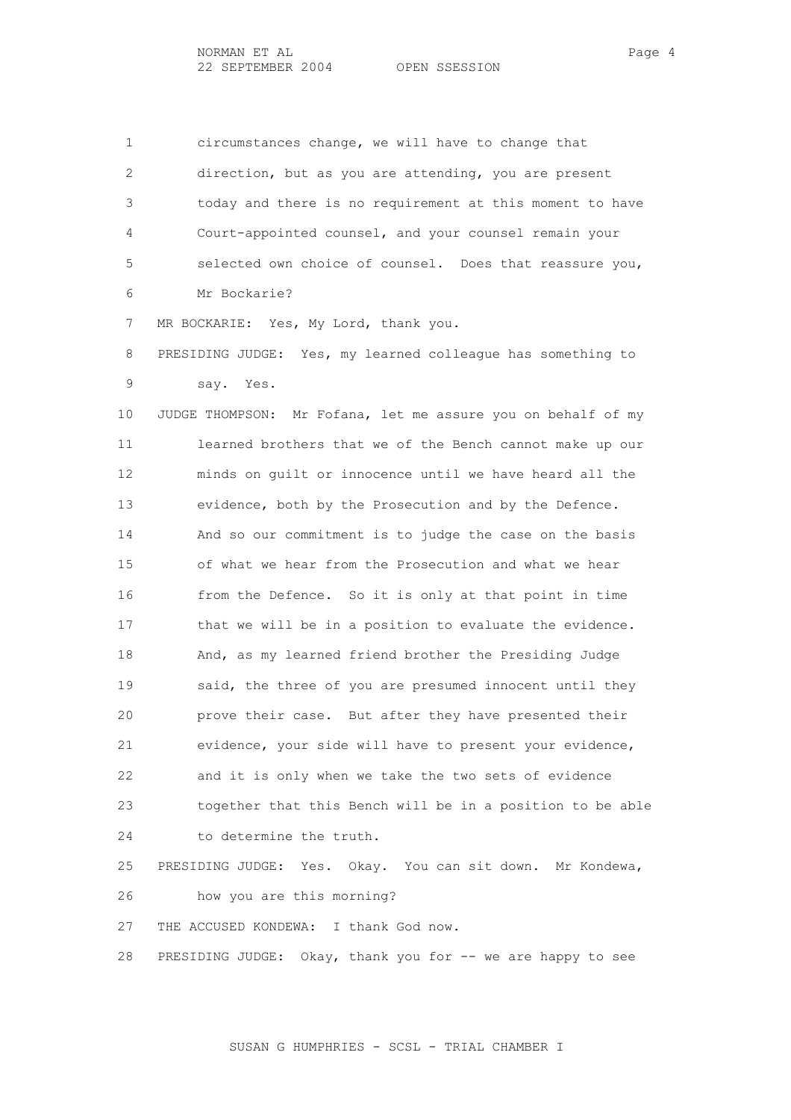1 circumstances change, we will have to change that 2 direction, but as you are attending, you are present 3 today and there is no requirement at this moment to have 4 Court-appointed counsel, and your counsel remain your 5 selected own choice of counsel. Does that reassure you, 6 Mr Bockarie?

7 MR BOCKARIE: Yes, My Lord, thank you.

 8 PRESIDING JUDGE: Yes, my learned colleague has something to 9 say. Yes.

 10 JUDGE THOMPSON: Mr Fofana, let me assure you on behalf of my 11 learned brothers that we of the Bench cannot make up our 12 minds on guilt or innocence until we have heard all the 13 evidence, both by the Prosecution and by the Defence. 14 And so our commitment is to judge the case on the basis 15 of what we hear from the Prosecution and what we hear 16 from the Defence. So it is only at that point in time 17 that we will be in a position to evaluate the evidence. 18 And, as my learned friend brother the Presiding Judge 19 said, the three of you are presumed innocent until they 20 prove their case. But after they have presented their 21 evidence, your side will have to present your evidence, 22 and it is only when we take the two sets of evidence 23 together that this Bench will be in a position to be able 24 to determine the truth.

 25 PRESIDING JUDGE: Yes. Okay. You can sit down. Mr Kondewa, 26 how you are this morning?

27 THE ACCUSED KONDEWA: I thank God now.

28 PRESIDING JUDGE: Okay, thank you for -- we are happy to see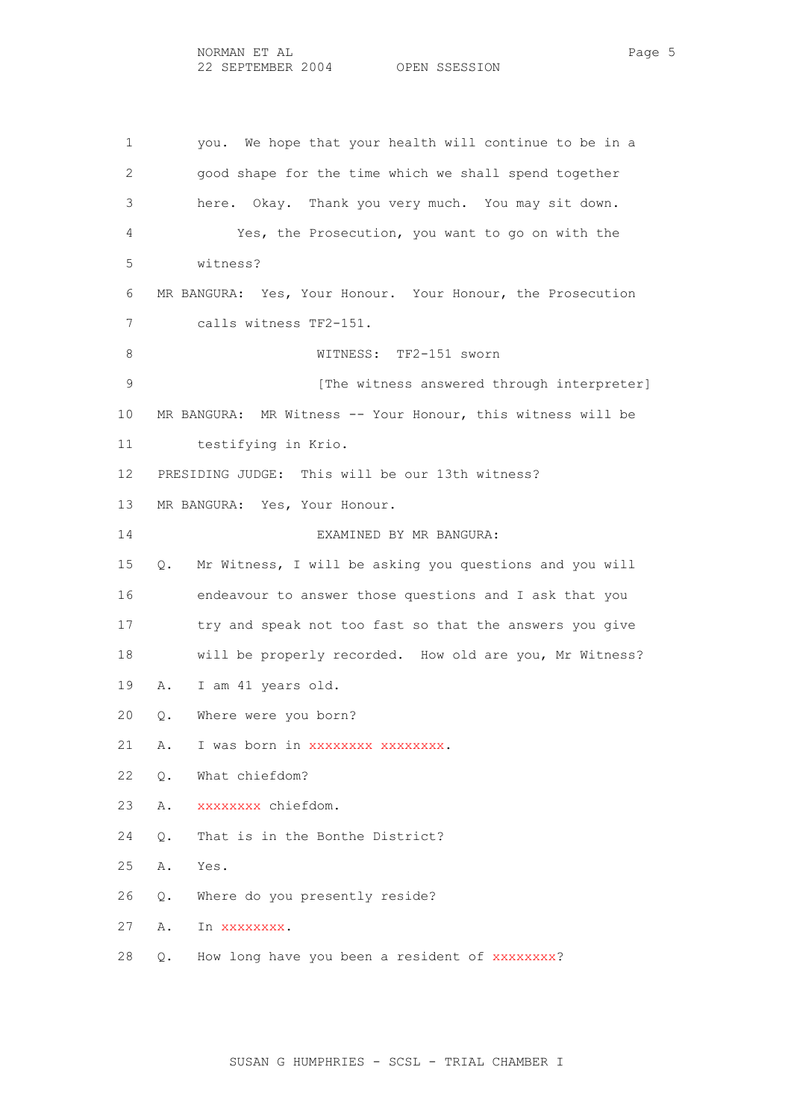1 you. We hope that your health will continue to be in a 2 good shape for the time which we shall spend together 3 here. Okay. Thank you very much. You may sit down. 4 Yes, the Prosecution, you want to go on with the 5 witness? 6 MR BANGURA: Yes, Your Honour. Your Honour, the Prosecution 7 calls witness TF2-151. 8 WITNESS: TF2-151 sworn 9 **12 [The witness answered through interpreter]**  10 MR BANGURA: MR Witness -- Your Honour, this witness will be 11 testifying in Krio. 12 PRESIDING JUDGE: This will be our 13th witness? 13 MR BANGURA: Yes, Your Honour. 14 EXAMINED BY MR BANGURA: 15 Q. Mr Witness, I will be asking you questions and you will 16 endeavour to answer those questions and I ask that you 17 try and speak not too fast so that the answers you give 18 will be properly recorded. How old are you, Mr Witness? 19 A. I am 41 years old. 20 Q. Where were you born? 21 A. I was born in xxxxxxxx xxxxxxxx. 22 Q. What chiefdom? 23 A. xxxxxxxx chiefdom. 24 Q. That is in the Bonthe District? 25 A. Yes. 26 Q. Where do you presently reside? 27 A. In xxxxxxxx. 28 Q. How long have you been a resident of xxxxxxxx?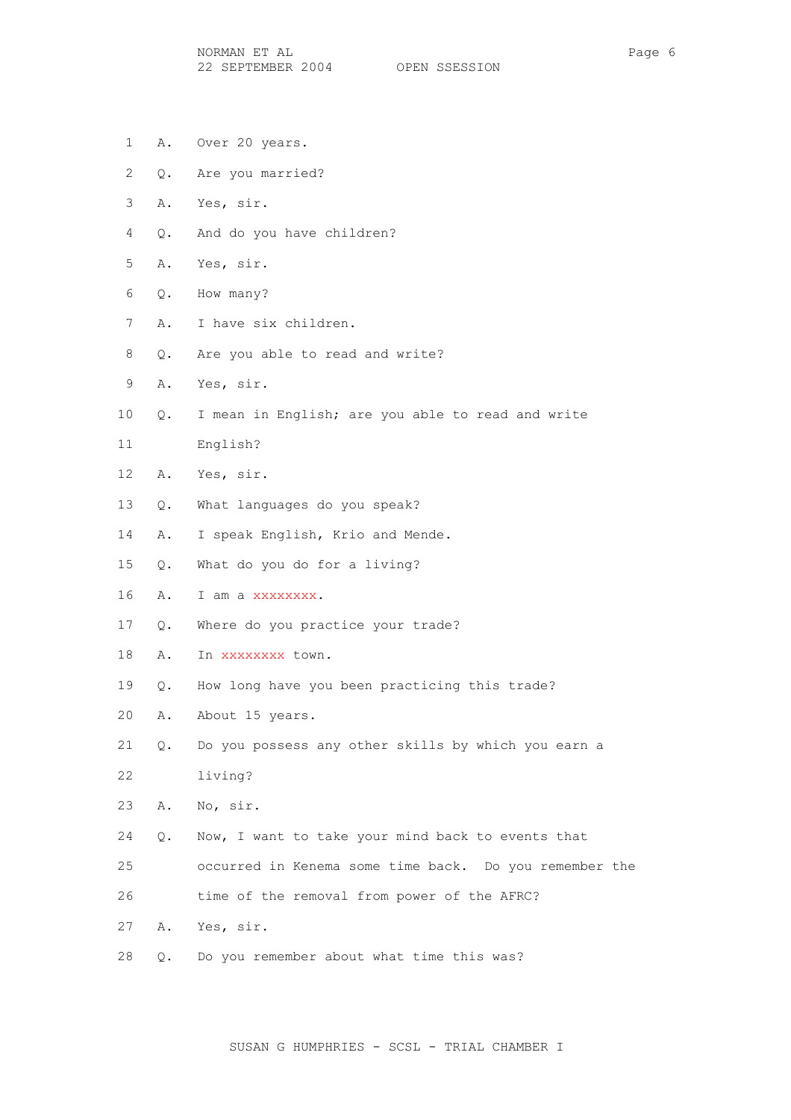NORMAN ET AL Page 6 22 SEPTEMBER 2004 OPEN SSESSION

- 1 A. Over 20 years.
- 2 Q. Are you married?
- 3 A. Yes, sir.
- 4 Q. And do you have children?
- 5 A. Yes, sir.
- 6 Q. How many?
- 7 A. I have six children.
- 8 Q. Are you able to read and write?
- 9 A. Yes, sir.
- 10 Q. I mean in English; are you able to read and write
- 11 English?
- 12 A. Yes, sir.
- 13 Q. What languages do you speak?
- 14 A. I speak English, Krio and Mende.
- 15 Q. What do you do for a living?
- 16 A. I am a xxxxxxxx.
- 17 Q. Where do you practice your trade?
- 18 A. In xxxxxxxx town.
- 19 Q. How long have you been practicing this trade?
- 20 A. About 15 years.
- 21 Q. Do you possess any other skills by which you earn a 22 living?
- 23 A. No, sir.
- 24 Q. Now, I want to take your mind back to events that
- 25 occurred in Kenema some time back. Do you remember the
- 26 time of the removal from power of the AFRC?
- 27 A. Yes, sir.
- 28 Q. Do you remember about what time this was?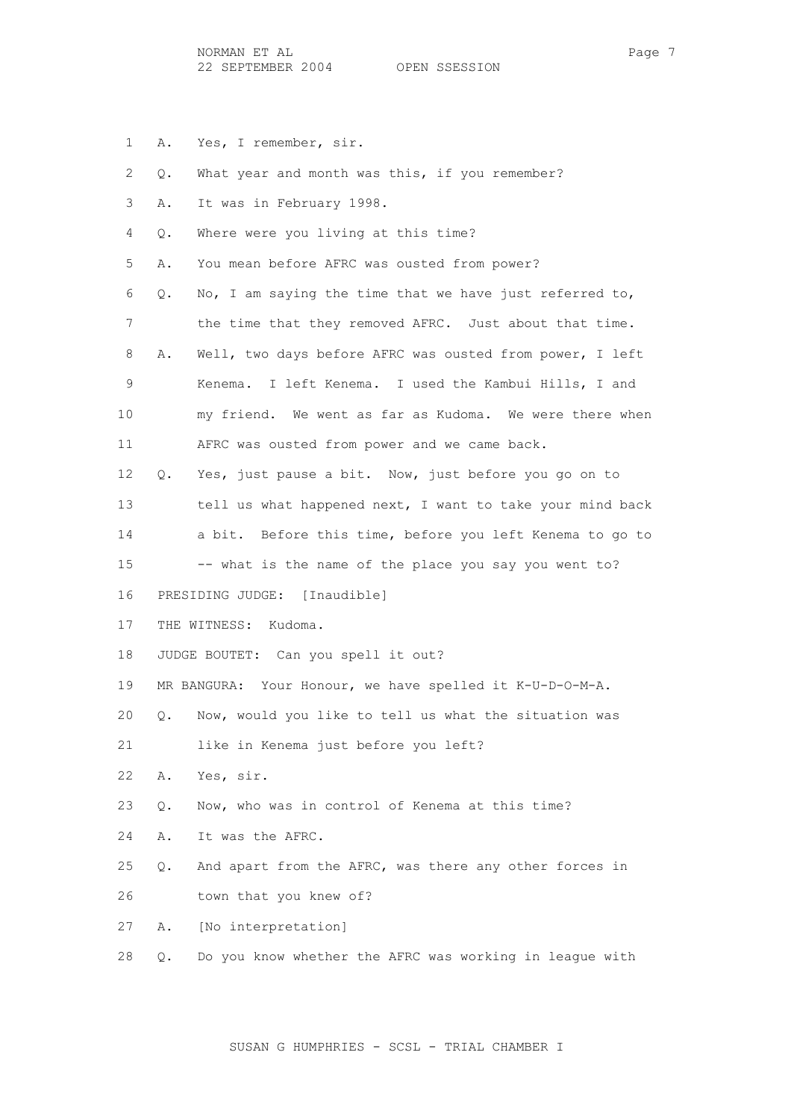- 1 A. Yes, I remember, sir.
- 2 Q. What year and month was this, if you remember?
- 3 A. It was in February 1998.
- 4 Q. Where were you living at this time?

5 A. You mean before AFRC was ousted from power?

 6 Q. No, I am saying the time that we have just referred to, 7 the time that they removed AFRC. Just about that time. 8 A. Well, two days before AFRC was ousted from power, I left 9 Kenema. I left Kenema. I used the Kambui Hills, I and 10 my friend. We went as far as Kudoma. We were there when 11 AFRC was ousted from power and we came back.

 12 Q. Yes, just pause a bit. Now, just before you go on to 13 tell us what happened next, I want to take your mind back 14 a bit. Before this time, before you left Kenema to go to 15 -- what is the name of the place you say you went to?

16 PRESIDING JUDGE: [Inaudible]

17 THE WITNESS: Kudoma.

18 JUDGE BOUTET: Can you spell it out?

19 MR BANGURA: Your Honour, we have spelled it K-U-D-O-M-A.

20 Q. Now, would you like to tell us what the situation was

21 like in Kenema just before you left?

22 A. Yes, sir.

23 Q. Now, who was in control of Kenema at this time?

24 A. It was the AFRC.

 25 Q. And apart from the AFRC, was there any other forces in 26 town that you knew of?

27 A. [No interpretation]

28 Q. Do you know whether the AFRC was working in league with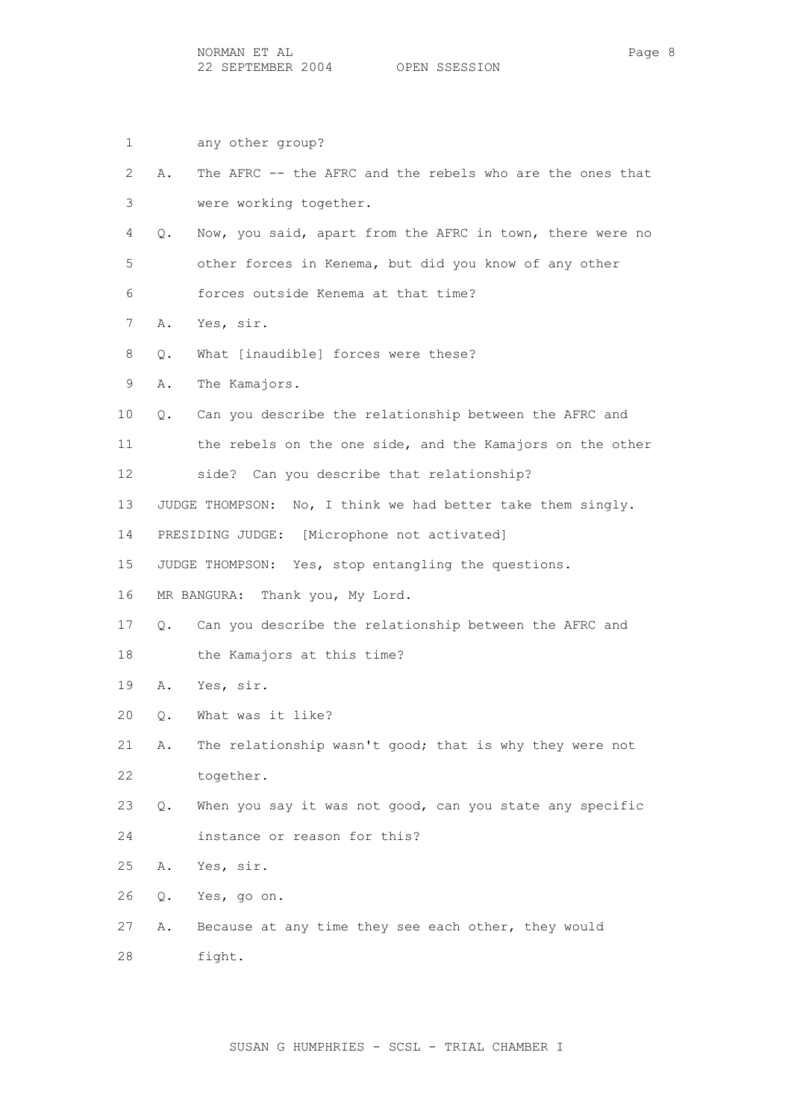- 1 any other group?
- 2 A. The AFRC -- the AFRC and the rebels who are the ones that 3 were working together.
- 4 Q. Now, you said, apart from the AFRC in town, there were no 5 other forces in Kenema, but did you know of any other 6 forces outside Kenema at that time?
- 7 A. Yes, sir.
- 8 Q. What [inaudible] forces were these?
- 9 A. The Kamajors.
- 10 Q. Can you describe the relationship between the AFRC and
- 11 the rebels on the one side, and the Kamajors on the other 12 side? Can you describe that relationship?
- 13 JUDGE THOMPSON: No, I think we had better take them singly.
- 14 PRESIDING JUDGE: [Microphone not activated]
- 15 JUDGE THOMPSON: Yes, stop entangling the questions.
- 16 MR BANGURA: Thank you, My Lord.
- 17 Q. Can you describe the relationship between the AFRC and
- 18 the Kamajors at this time?
- 19 A. Yes, sir.
- 20 Q. What was it like?
- 21 A. The relationship wasn't good; that is why they were not 22 together.
- 23 Q. When you say it was not good, can you state any specific 24 instance or reason for this?
- 25 A. Yes, sir.
- 26 Q. Yes, go on.
- 27 A. Because at any time they see each other, they would 28 fight.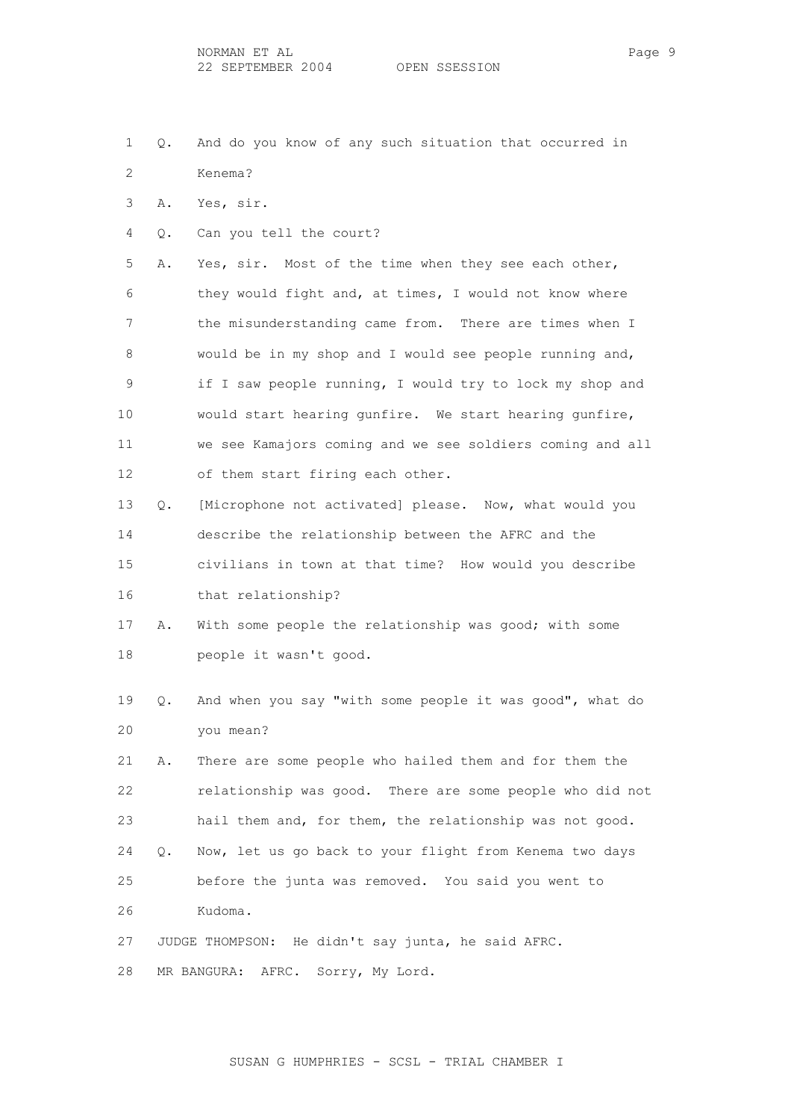- 1 Q. And do you know of any such situation that occurred in 2 Kenema?
- 3 A. Yes, sir.
- 4 Q. Can you tell the court?

 5 A. Yes, sir. Most of the time when they see each other, 6 they would fight and, at times, I would not know where 7 the misunderstanding came from. There are times when I 8 would be in my shop and I would see people running and, 9 if I saw people running, I would try to lock my shop and 10 would start hearing gunfire. We start hearing gunfire, 11 we see Kamajors coming and we see soldiers coming and all 12 of them start firing each other.

- 13 Q. [Microphone not activated] please. Now, what would you 14 describe the relationship between the AFRC and the 15 civilians in town at that time? How would you describe 16 that relationship?
- 17 A. With some people the relationship was good; with some 18 people it wasn't good.
- 19 Q. And when you say "with some people it was good", what do 20 you mean?

 21 A. There are some people who hailed them and for them the 22 relationship was good. There are some people who did not 23 hail them and, for them, the relationship was not good. 24 Q. Now, let us go back to your flight from Kenema two days 25 before the junta was removed. You said you went to 26 Kudoma.

27 JUDGE THOMPSON: He didn't say junta, he said AFRC.

28 MR BANGURA: AFRC. Sorry, My Lord.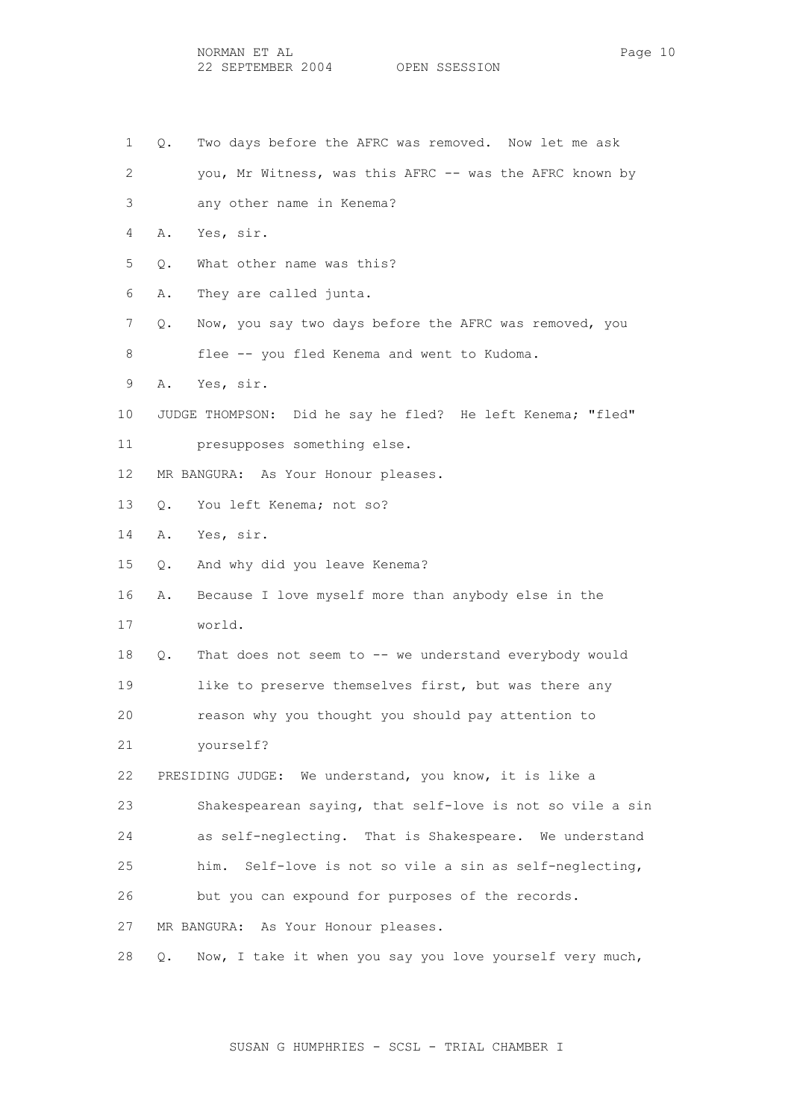- 1 Q. Two days before the AFRC was removed. Now let me ask
- 2 you, Mr Witness, was this AFRC -- was the AFRC known by 3 any other name in Kenema?
- 4 A. Yes, sir.
- 5 Q. What other name was this?
- 6 A. They are called junta.
- 7 Q. Now, you say two days before the AFRC was removed, you 8 flee -- you fled Kenema and went to Kudoma.
- 9 A. Yes, sir.
- 10 JUDGE THOMPSON: Did he say he fled? He left Kenema; "fled"
- 11 presupposes something else.
- 12 MR BANGURA: As Your Honour pleases.
- 13 Q. You left Kenema; not so?
- 14 A. Yes, sir.
- 15 Q. And why did you leave Kenema?
- 16 A. Because I love myself more than anybody else in the 17 world.
- 18 Q. That does not seem to -- we understand everybody would 19 like to preserve themselves first, but was there any 20 reason why you thought you should pay attention to
- 21 yourself?

 22 PRESIDING JUDGE: We understand, you know, it is like a 23 Shakespearean saying, that self-love is not so vile a sin 24 as self-neglecting. That is Shakespeare. We understand 25 him. Self-love is not so vile a sin as self-neglecting, 26 but you can expound for purposes of the records.

27 MR BANGURA: As Your Honour pleases.

28 Q. Now, I take it when you say you love yourself very much,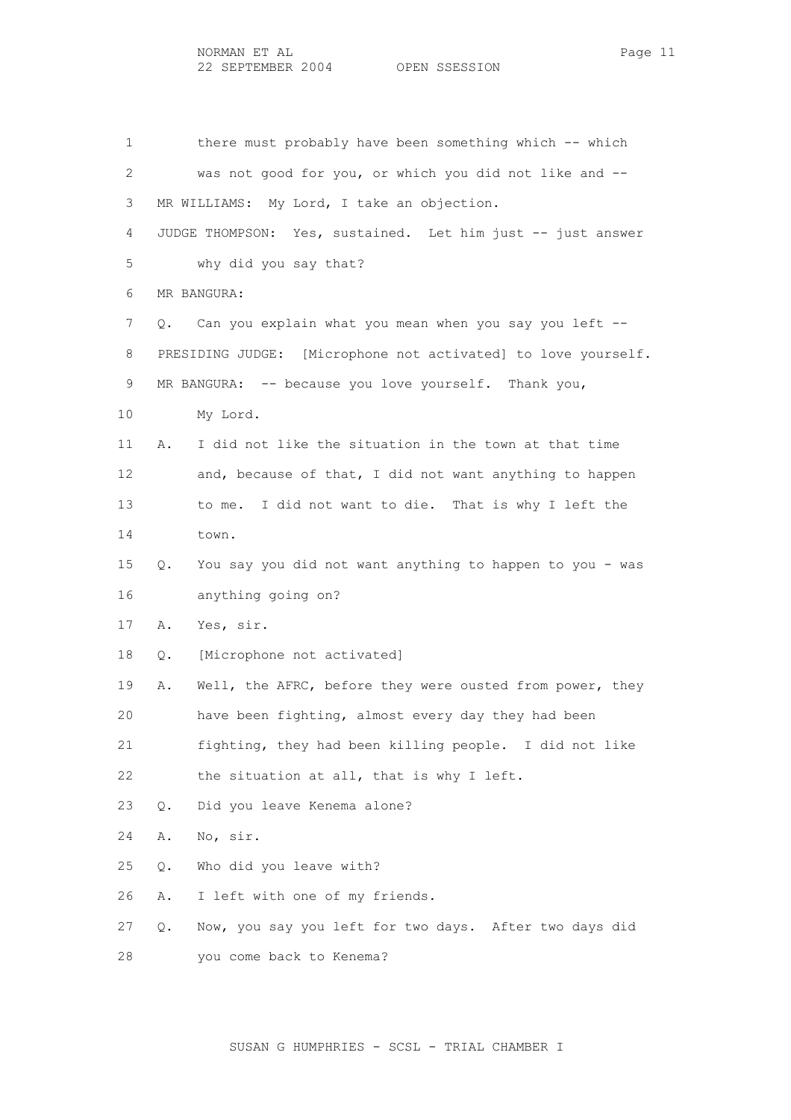1 there must probably have been something which -- which 2 was not good for you, or which you did not like and -- 3 MR WILLIAMS: My Lord, I take an objection. 4 JUDGE THOMPSON: Yes, sustained. Let him just -- just answer 5 why did you say that? 6 MR BANGURA: 7 Q. Can you explain what you mean when you say you left -- 8 PRESIDING JUDGE: [Microphone not activated] to love yourself. 9 MR BANGURA: -- because you love yourself. Thank you, 10 My Lord. 11 A. I did not like the situation in the town at that time 12 and, because of that, I did not want anything to happen 13 to me. I did not want to die. That is why I left the 14 town. 15 Q. You say you did not want anything to happen to you - was 16 anything going on? 17 A. Yes, sir. 18 Q. [Microphone not activated] 19 A. Well, the AFRC, before they were ousted from power, they 20 have been fighting, almost every day they had been 21 fighting, they had been killing people. I did not like 22 the situation at all, that is why I left. 23 Q. Did you leave Kenema alone? 24 A. No, sir. 25 Q. Who did you leave with? 26 A. I left with one of my friends. 27 Q. Now, you say you left for two days. After two days did 28 you come back to Kenema?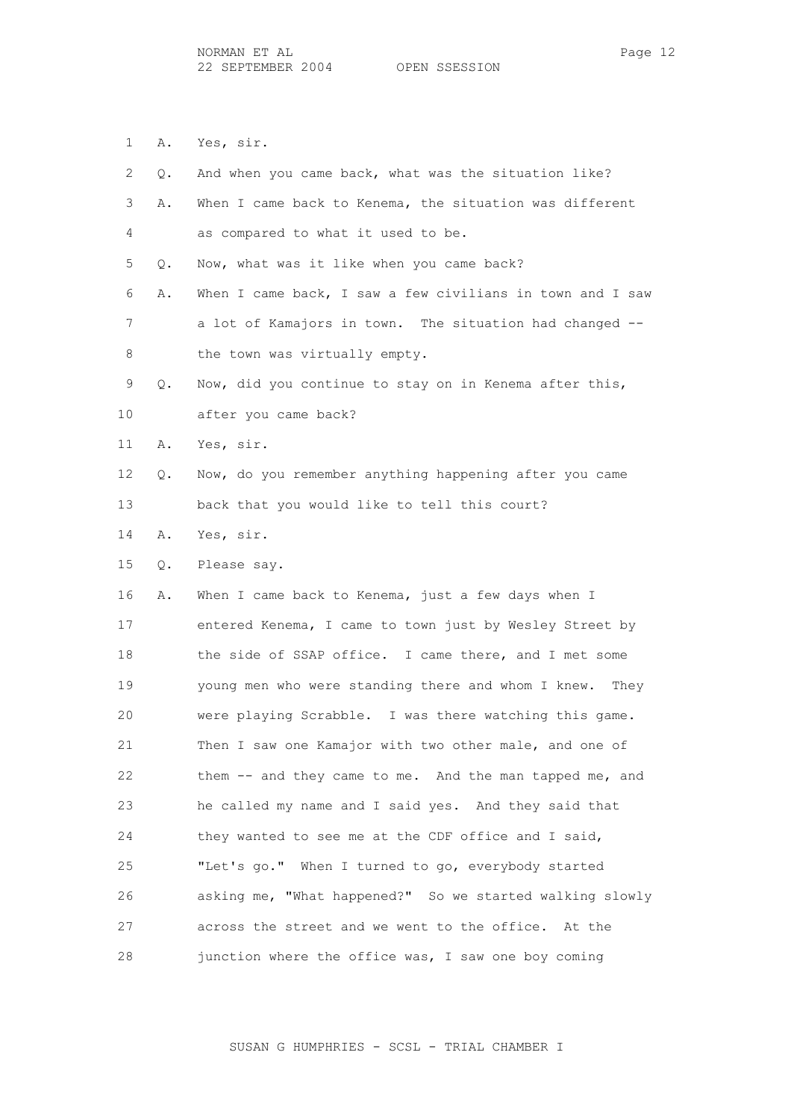1 A. Yes, sir.

| 2  | Q. | And when you came back, what was the situation like?       |
|----|----|------------------------------------------------------------|
| 3  | Α. | When I came back to Kenema, the situation was different    |
| 4  |    | as compared to what it used to be.                         |
| 5  | Q. | Now, what was it like when you came back?                  |
| 6  | Α. | When I came back, I saw a few civilians in town and I saw  |
| 7  |    | a lot of Kamajors in town. The situation had changed --    |
| 8  |    | the town was virtually empty.                              |
| 9  | Q. | Now, did you continue to stay on in Kenema after this,     |
| 10 |    | after you came back?                                       |
| 11 | Α. | Yes, sir.                                                  |
| 12 | Q. | Now, do you remember anything happening after you came     |
| 13 |    | back that you would like to tell this court?               |
| 14 | Α. | Yes, sir.                                                  |
| 15 | Q. | Please say.                                                |
| 16 | Α. | When I came back to Kenema, just a few days when I         |
| 17 |    | entered Kenema, I came to town just by Wesley Street by    |
| 18 |    | the side of SSAP office. I came there, and I met some      |
| 19 |    | young men who were standing there and whom I knew.<br>They |
| 20 |    | were playing Scrabble. I was there watching this game.     |
| 21 |    | Then I saw one Kamajor with two other male, and one of     |
| 22 |    | them -- and they came to me. And the man tapped me, and    |
| 23 |    | he called my name and I said yes. And they said that       |
| 24 |    | they wanted to see me at the CDF office and I said,        |
| 25 |    | "Let's go." When I turned to go, everybody started         |
| 26 |    | asking me, "What happened?" So we started walking slowly   |
| 27 |    | across the street and we went to the office. At the        |
| 28 |    | junction where the office was, I saw one boy coming        |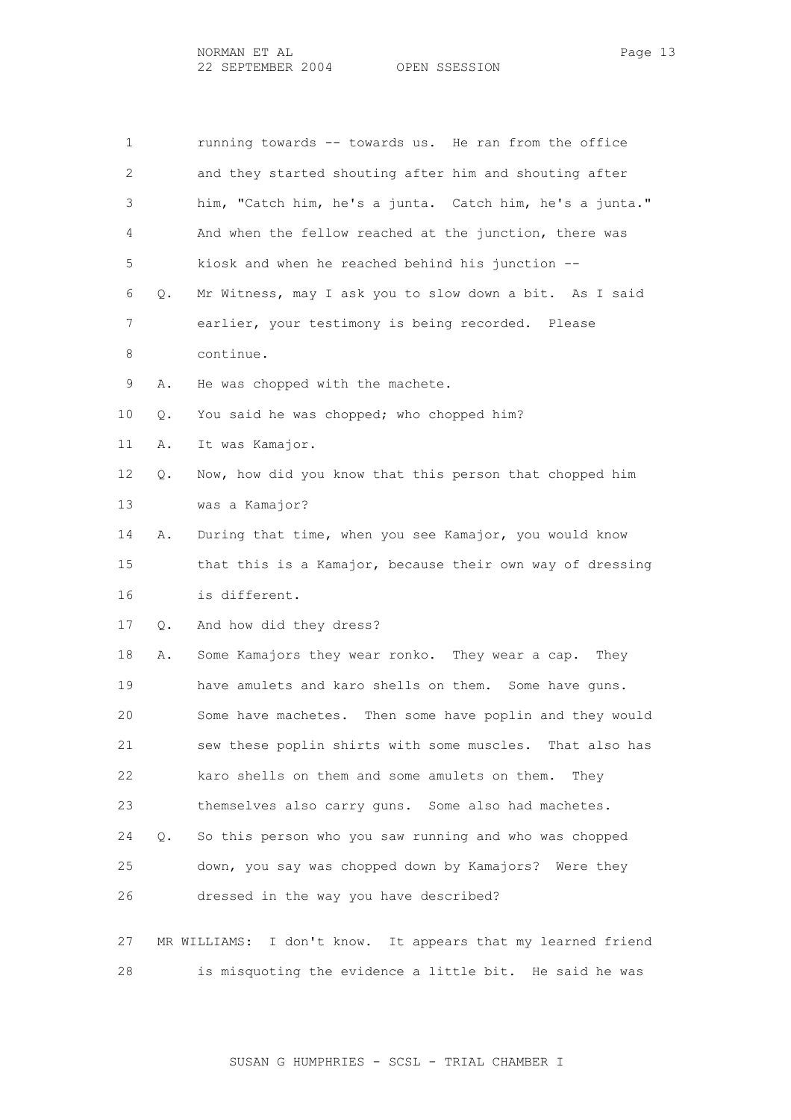1 running towards -- towards us. He ran from the office 2 and they started shouting after him and shouting after 3 him, "Catch him, he's a junta. Catch him, he's a junta." 4 And when the fellow reached at the junction, there was 5 kiosk and when he reached behind his junction -- 6 Q. Mr Witness, may I ask you to slow down a bit. As I said 7 earlier, your testimony is being recorded. Please 8 continue. 9 A. He was chopped with the machete. 10 Q. You said he was chopped; who chopped him? 11 A. It was Kamajor. 12 Q. Now, how did you know that this person that chopped him 13 was a Kamajor? 14 A. During that time, when you see Kamajor, you would know 15 that this is a Kamajor, because their own way of dressing 16 is different. 17 Q. And how did they dress? 18 A. Some Kamajors they wear ronko. They wear a cap. They 19 have amulets and karo shells on them. Some have guns. 20 Some have machetes. Then some have poplin and they would 21 sew these poplin shirts with some muscles. That also has 22 karo shells on them and some amulets on them. They 23 themselves also carry guns. Some also had machetes. 24 Q. So this person who you saw running and who was chopped 25 down, you say was chopped down by Kamajors? Were they 26 dressed in the way you have described? 27 MR WILLIAMS: I don't know. It appears that my learned friend 28 is misquoting the evidence a little bit. He said he was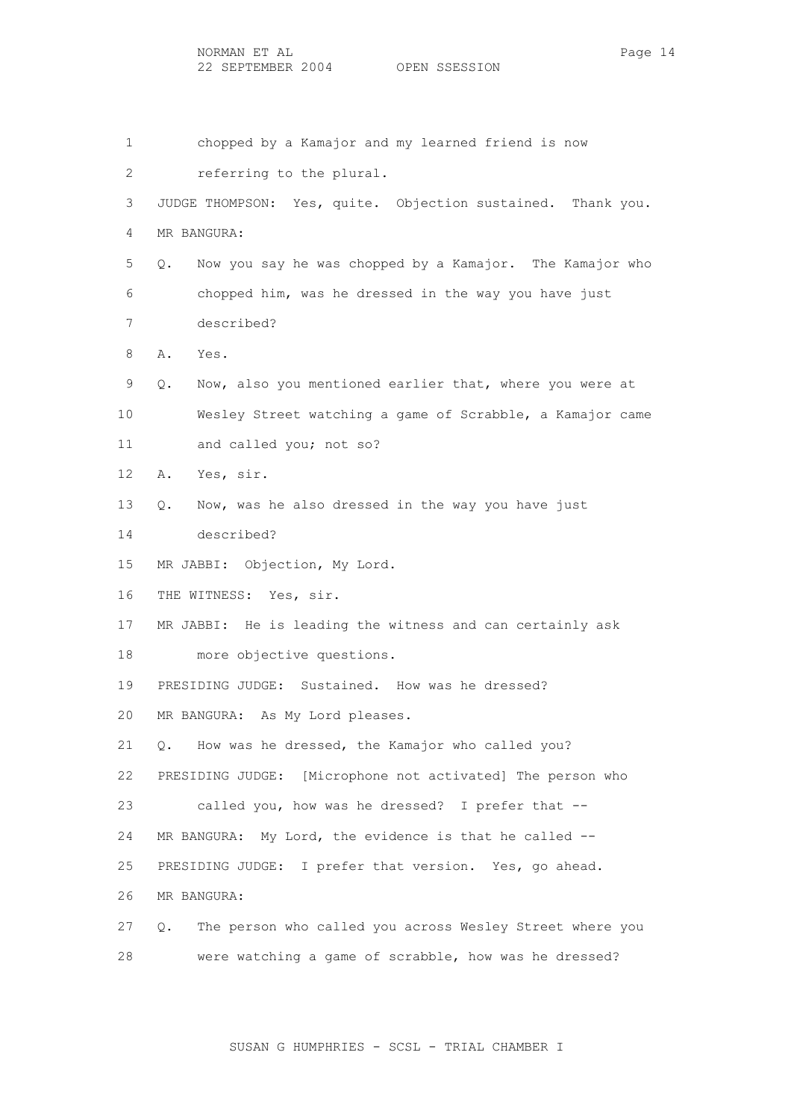1 chopped by a Kamajor and my learned friend is now 2 referring to the plural. 3 JUDGE THOMPSON: Yes, quite. Objection sustained. Thank you. 4 MR BANGURA: 5 Q. Now you say he was chopped by a Kamajor. The Kamajor who 6 chopped him, was he dressed in the way you have just 7 described? 8 A. Yes. 9 Q. Now, also you mentioned earlier that, where you were at 10 Wesley Street watching a game of Scrabble, a Kamajor came 11 and called you; not so? 12 A. Yes, sir. 13 Q. Now, was he also dressed in the way you have just 14 described? 15 MR JABBI: Objection, My Lord. 16 THE WITNESS: Yes, sir. 17 MR JABBI: He is leading the witness and can certainly ask 18 more objective questions. 19 PRESIDING JUDGE: Sustained. How was he dressed? 20 MR BANGURA: As My Lord pleases. 21 Q. How was he dressed, the Kamajor who called you? 22 PRESIDING JUDGE: [Microphone not activated] The person who 23 called you, how was he dressed? I prefer that -- 24 MR BANGURA: My Lord, the evidence is that he called -- 25 PRESIDING JUDGE: I prefer that version. Yes, go ahead. 26 MR BANGURA: 27 Q. The person who called you across Wesley Street where you 28 were watching a game of scrabble, how was he dressed?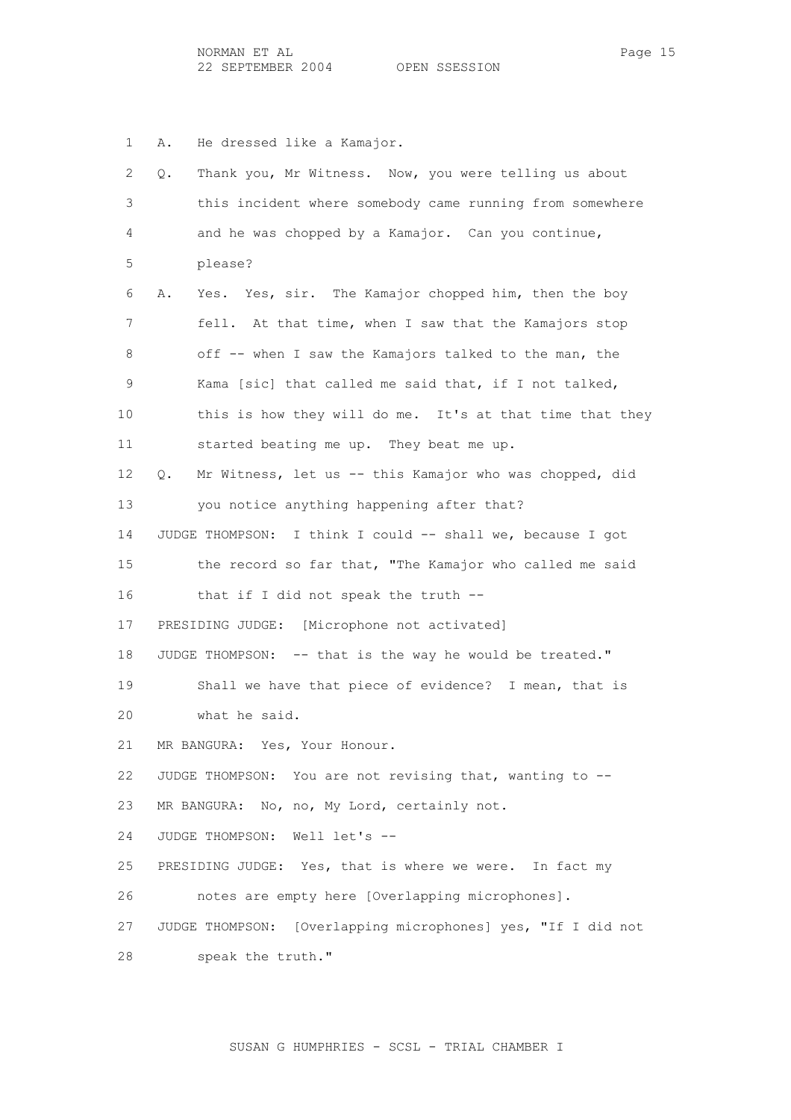1 A. He dressed like a Kamajor.

| 2  | Thank you, Mr Witness. Now, you were telling us about<br>Q.   |
|----|---------------------------------------------------------------|
| 3  | this incident where somebody came running from somewhere      |
| 4  | and he was chopped by a Kamajor. Can you continue,            |
| 5  | please?                                                       |
| 6  | Yes. Yes, sir. The Kamajor chopped him, then the boy<br>Α.    |
| 7  | fell. At that time, when I saw that the Kamajors stop         |
| 8  | off -- when I saw the Kamajors talked to the man, the         |
| 9  | Kama [sic] that called me said that, if I not talked,         |
| 10 | this is how they will do me. It's at that time that they      |
| 11 | started beating me up. They beat me up.                       |
| 12 | Mr Witness, let us -- this Kamajor who was chopped, did<br>Q. |
| 13 | you notice anything happening after that?                     |
| 14 | JUDGE THOMPSON: I think I could -- shall we, because I got    |
| 15 | the record so far that, "The Kamajor who called me said       |
| 16 | that if I did not speak the truth --                          |
| 17 | PRESIDING JUDGE: [Microphone not activated]                   |
| 18 | JUDGE THOMPSON: -- that is the way he would be treated."      |
| 19 | Shall we have that piece of evidence? I mean, that is         |
| 20 | what he said.                                                 |
| 21 | MR BANGURA: Yes, Your Honour.                                 |
| 22 | JUDGE THOMPSON: You are not revising that, wanting to --      |
| 23 | MR BANGURA: No, no, My Lord, certainly not.                   |
| 24 | JUDGE THOMPSON: Well let's --                                 |
| 25 | PRESIDING JUDGE: Yes, that is where we were. In fact my       |
| 26 | notes are empty here [Overlapping microphones].               |
| 27 | JUDGE THOMPSON: [Overlapping microphones] yes, "If I did not  |
| 28 | speak the truth."                                             |
|    |                                                               |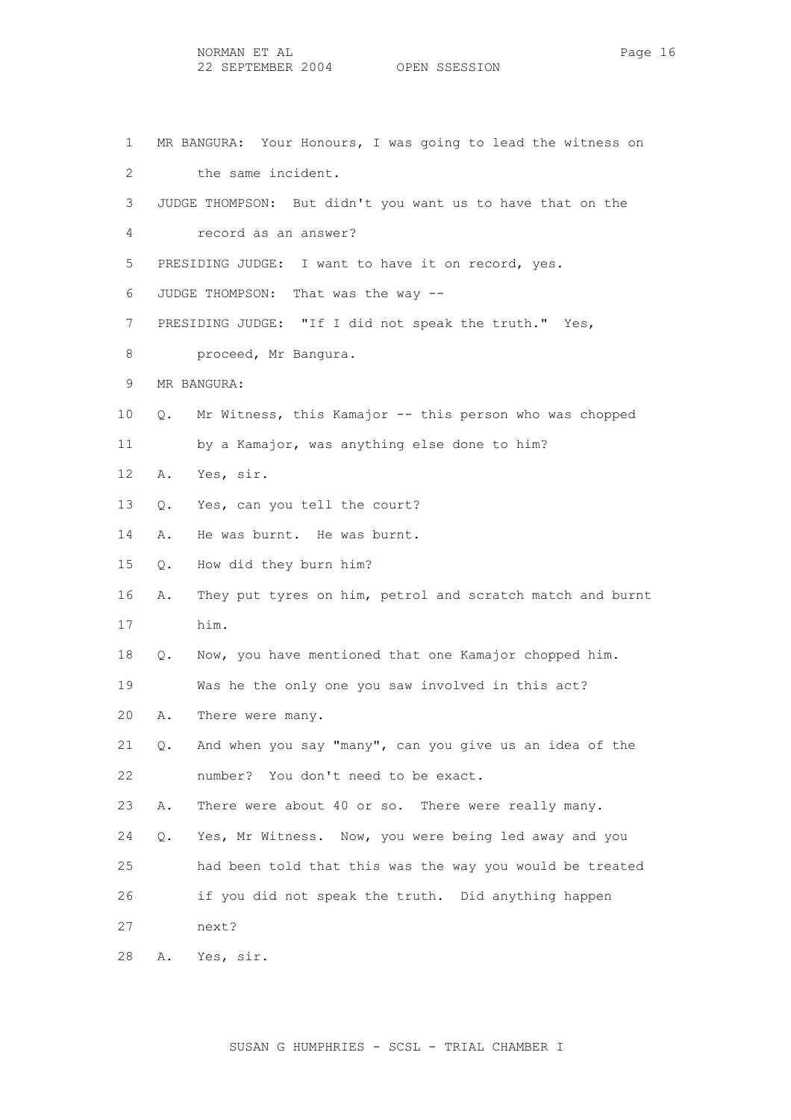1 MR BANGURA: Your Honours, I was going to lead the witness on 2 the same incident. 3 JUDGE THOMPSON: But didn't you want us to have that on the 4 record as an answer? 5 PRESIDING JUDGE: I want to have it on record, yes. 6 JUDGE THOMPSON: That was the way -- 7 PRESIDING JUDGE: "If I did not speak the truth." Yes, 8 **proceed**, Mr Bangura. 9 MR BANGURA: 10 Q. Mr Witness, this Kamajor -- this person who was chopped 11 by a Kamajor, was anything else done to him? 12 A. Yes, sir. 13 Q. Yes, can you tell the court? 14 A. He was burnt. He was burnt. 15 Q. How did they burn him? 16 A. They put tyres on him, petrol and scratch match and burnt 17 him. 18 Q. Now, you have mentioned that one Kamajor chopped him. 19 Was he the only one you saw involved in this act? 20 A. There were many. 21 Q. And when you say "many", can you give us an idea of the 22 number? You don't need to be exact. 23 A. There were about 40 or so. There were really many. 24 Q. Yes, Mr Witness. Now, you were being led away and you 25 had been told that this was the way you would be treated 26 if you did not speak the truth. Did anything happen 27 next? 28 A. Yes, sir.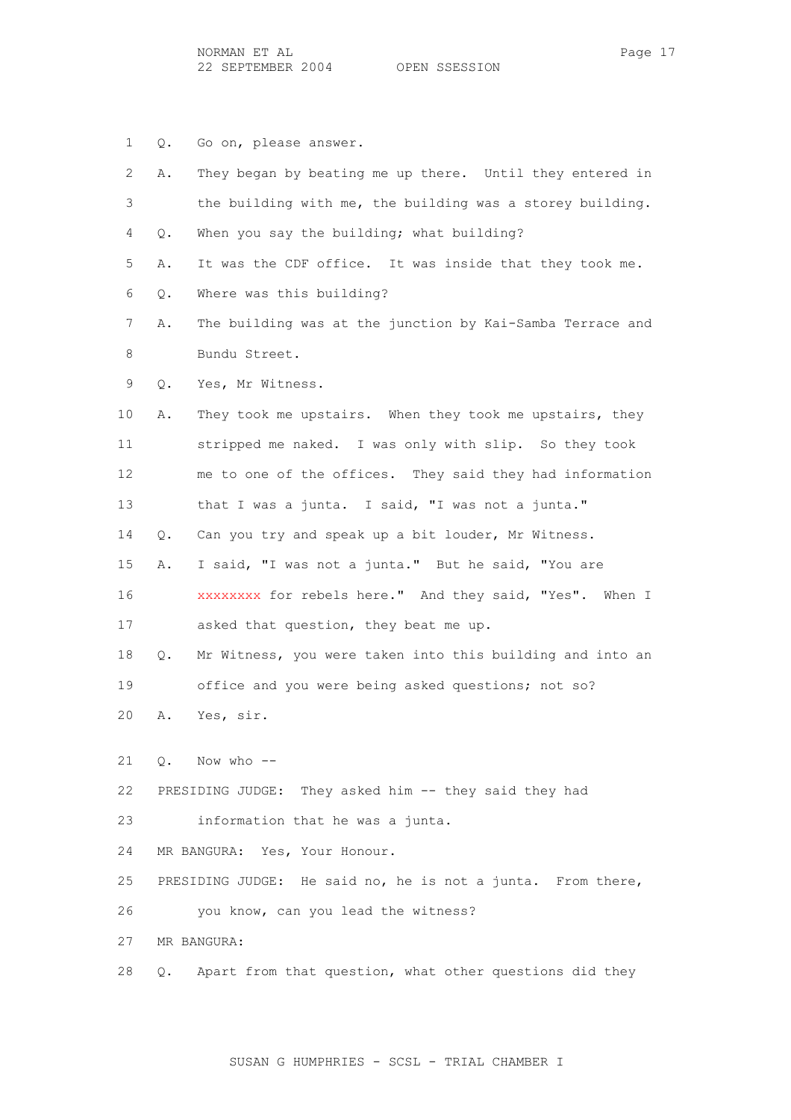1 Q. Go on, please answer.

| 2  | Α. | They began by beating me up there. Until they entered in    |
|----|----|-------------------------------------------------------------|
| 3  |    | the building with me, the building was a storey building.   |
| 4  | Q. | When you say the building; what building?                   |
| 5  | Α. | It was the CDF office. It was inside that they took me.     |
| 6  | Q. | Where was this building?                                    |
| 7  | Α. | The building was at the junction by Kai-Samba Terrace and   |
| 8  |    | Bundu Street.                                               |
| 9  | Q. | Yes, Mr Witness.                                            |
| 10 | Α. | They took me upstairs. When they took me upstairs, they     |
| 11 |    | stripped me naked. I was only with slip. So they took       |
| 12 |    | me to one of the offices. They said they had information    |
| 13 |    | that I was a junta. I said, "I was not a junta."            |
| 14 | Q. | Can you try and speak up a bit louder, Mr Witness.          |
| 15 | Α. | I said, "I was not a junta." But he said, "You are          |
| 16 |    | XXXXXXXX for rebels here." And they said, "Yes". When I     |
| 17 |    | asked that question, they beat me up.                       |
| 18 | Q. | Mr Witness, you were taken into this building and into an   |
| 19 |    | office and you were being asked questions; not so?          |
| 20 | Α. | Yes, sir.                                                   |
| 21 |    | Q. Now who --                                               |
| 22 |    | PRESIDING JUDGE: They asked him -- they said they had       |
| 23 |    | information that he was a junta.                            |
| 24 |    | MR BANGURA: Yes, Your Honour.                               |
| 25 |    | PRESIDING JUDGE: He said no, he is not a junta. From there, |
| 26 |    | you know, can you lead the witness?                         |
| 27 |    | MR BANGURA:                                                 |
|    |    |                                                             |
| 28 | Q. | Apart from that question, what other questions did they     |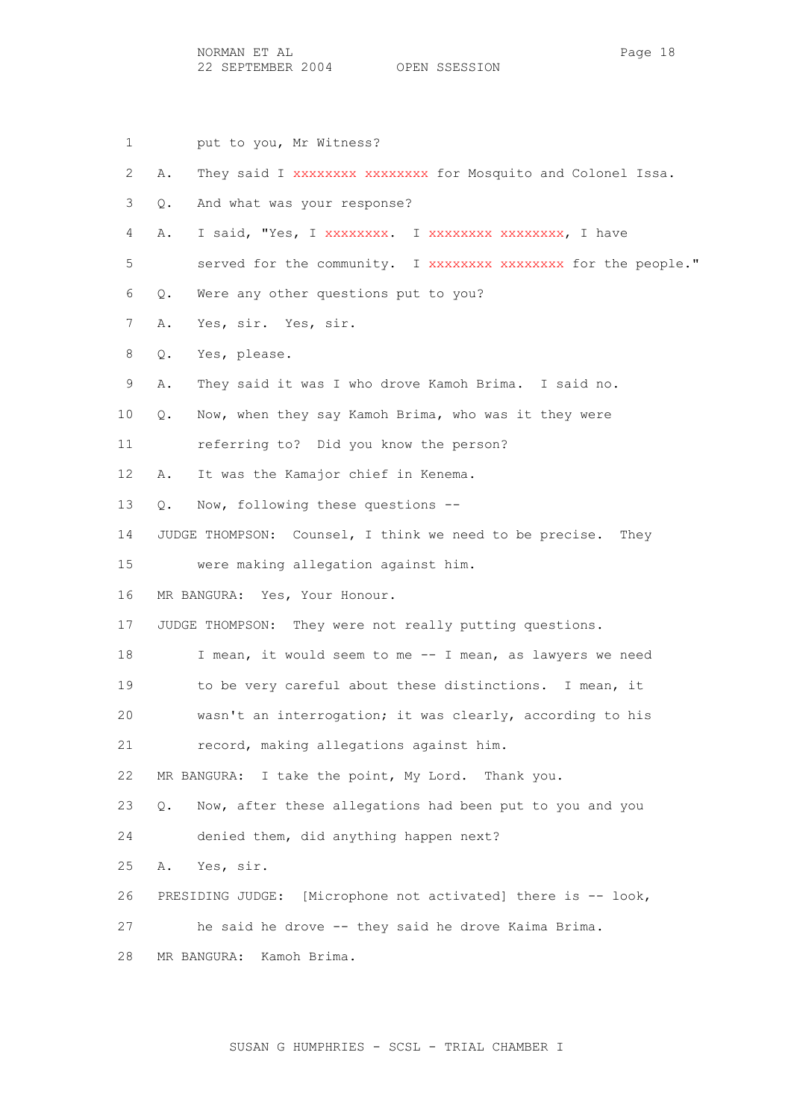NORMAN ET AL PAGE 18 22 SEPTEMBER 2004 OPEN SSESSION

- 1 put to you, Mr Witness?
- 2 A. They said I xxxxxxxx xxxxxxxx for Mosquito and Colonel Issa.
- 3 Q. And what was your response?
- 4 A. I said, "Yes, I xxxxxxxx. I xxxxxxxx xxxxxxxx, I have
- 5 served for the community. I xxxxxxxx xxxxxxxx for the people."
- 6 Q. Were any other questions put to you?
- 7 A. Yes, sir. Yes, sir.
- 8 Q. Yes, please.
- 9 A. They said it was I who drove Kamoh Brima. I said no.
- 10 Q. Now, when they say Kamoh Brima, who was it they were
- 11 referring to? Did you know the person?
- 12 A. It was the Kamajor chief in Kenema.
- 13 Q. Now, following these questions --
- 14 JUDGE THOMPSON: Counsel, I think we need to be precise. They
- 15 were making allegation against him.
- 16 MR BANGURA: Yes, Your Honour.
- 17 JUDGE THOMPSON: They were not really putting questions.
- 18 I mean, it would seem to me -- I mean, as lawyers we need
- 19 to be very careful about these distinctions. I mean, it
- 20 wasn't an interrogation; it was clearly, according to his
- 21 record, making allegations against him.
- 22 MR BANGURA: I take the point, My Lord. Thank you.
- 23 Q. Now, after these allegations had been put to you and you
- 24 denied them, did anything happen next?
- 25 A. Yes, sir.
- 26 PRESIDING JUDGE: [Microphone not activated] there is -- look,
- 27 he said he drove -- they said he drove Kaima Brima.
- 28 MR BANGURA: Kamoh Brima.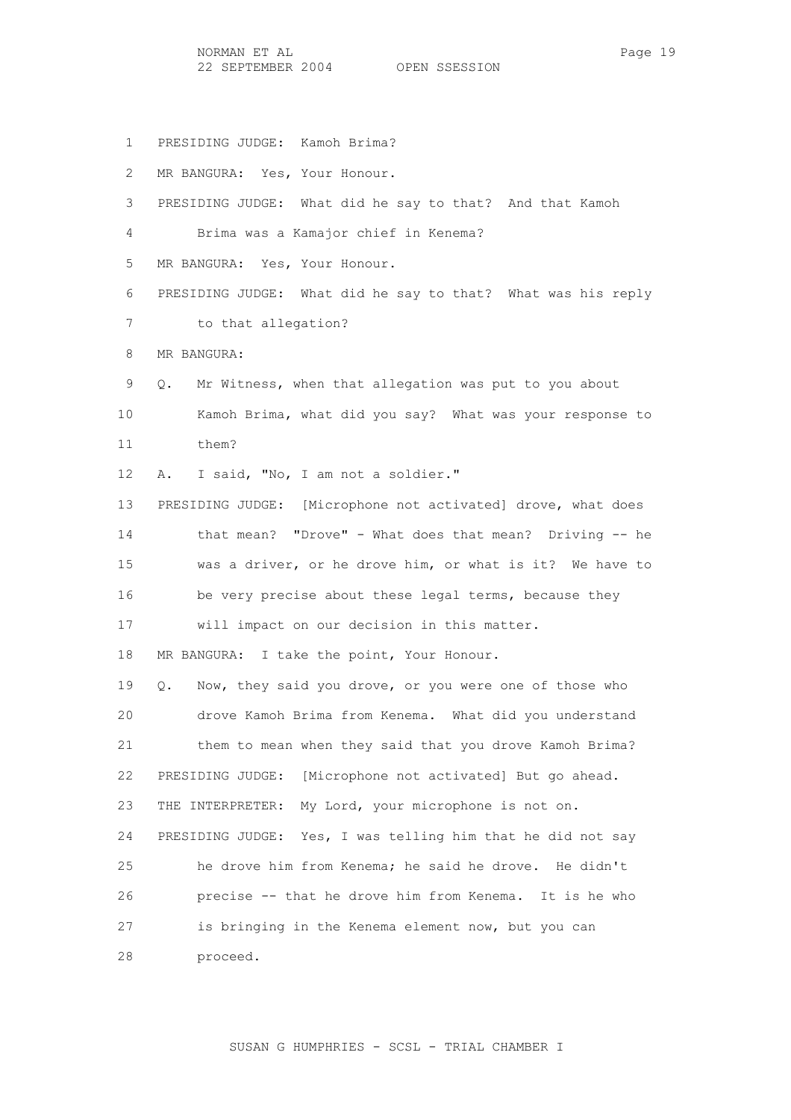NORMAN ET AL Page 19 22 SEPTEMBER 2004 OPEN SSESSION

1 PRESIDING JUDGE: Kamoh Brima?

 2 MR BANGURA: Yes, Your Honour. 3 PRESIDING JUDGE: What did he say to that? And that Kamoh 4 Brima was a Kamajor chief in Kenema? 5 MR BANGURA: Yes, Your Honour. 6 PRESIDING JUDGE: What did he say to that? What was his reply 7 to that allegation? 8 MR BANGURA: 9 Q. Mr Witness, when that allegation was put to you about 10 Kamoh Brima, what did you say? What was your response to 11 them? 12 A. I said, "No, I am not a soldier." 13 PRESIDING JUDGE: [Microphone not activated] drove, what does 14 that mean? "Drove" - What does that mean? Driving -- he 15 was a driver, or he drove him, or what is it? We have to 16 be very precise about these legal terms, because they 17 will impact on our decision in this matter. 18 MR BANGURA: I take the point, Your Honour. 19 Q. Now, they said you drove, or you were one of those who 20 drove Kamoh Brima from Kenema. What did you understand 21 them to mean when they said that you drove Kamoh Brima? 22 PRESIDING JUDGE: [Microphone not activated] But go ahead. 23 THE INTERPRETER: My Lord, your microphone is not on. 24 PRESIDING JUDGE: Yes, I was telling him that he did not say 25 he drove him from Kenema; he said he drove. He didn't 26 precise -- that he drove him from Kenema. It is he who 27 is bringing in the Kenema element now, but you can 28 proceed.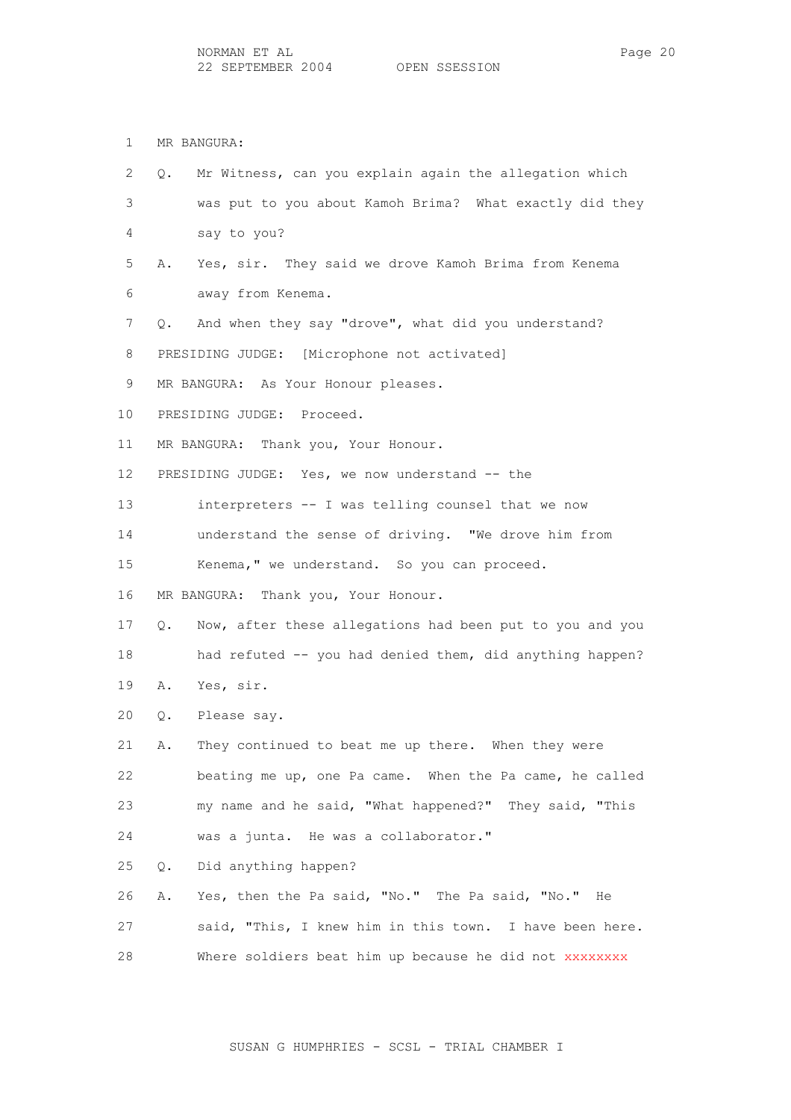1 MR BANGURA:

| $\mathbf{2}^{\prime}$ | Mr Witness, can you explain again the allegation which<br>Q.   |
|-----------------------|----------------------------------------------------------------|
| 3                     | was put to you about Kamoh Brima? What exactly did they        |
| 4                     | say to you?                                                    |
| 5                     | Yes, sir. They said we drove Kamoh Brima from Kenema<br>Α.     |
| 6                     | away from Kenema.                                              |
| 7                     | And when they say "drove", what did you understand?<br>Q.      |
| 8                     | PRESIDING JUDGE: [Microphone not activated]                    |
| 9                     | MR BANGURA: As Your Honour pleases.                            |
| 10                    | PRESIDING JUDGE: Proceed.                                      |
| 11                    | MR BANGURA: Thank you, Your Honour.                            |
| 12 <sup>°</sup>       | PRESIDING JUDGE: Yes, we now understand -- the                 |
| 13                    | interpreters -- I was telling counsel that we now              |
| 14                    | understand the sense of driving. "We drove him from            |
| 15 <sub>1</sub>       | Kenema," we understand. So you can proceed.                    |
| 16                    | MR BANGURA: Thank you, Your Honour.                            |
| 17                    | Now, after these allegations had been put to you and you<br>Q. |
| 18                    | had refuted -- you had denied them, did anything happen?       |
| 19                    | Yes, sir.<br>Α.                                                |
| 20                    | Please say.<br>Q.                                              |
| 21                    | They continued to beat me up there. When they were<br>Α.       |
| 22                    | beating me up, one Pa came. When the Pa came, he called        |
| 23                    | my name and he said, "What happened?" They said, "This         |
| 24                    | was a junta. He was a collaborator."                           |
| 25                    | Did anything happen?<br>Q.                                     |
| 26                    | Yes, then the Pa said, "No." The Pa said, "No." He<br>Α.       |
| 27                    | said, "This, I knew him in this town. I have been here.        |
| 28                    | Where soldiers beat him up because he did not XXXXXXXX         |
|                       |                                                                |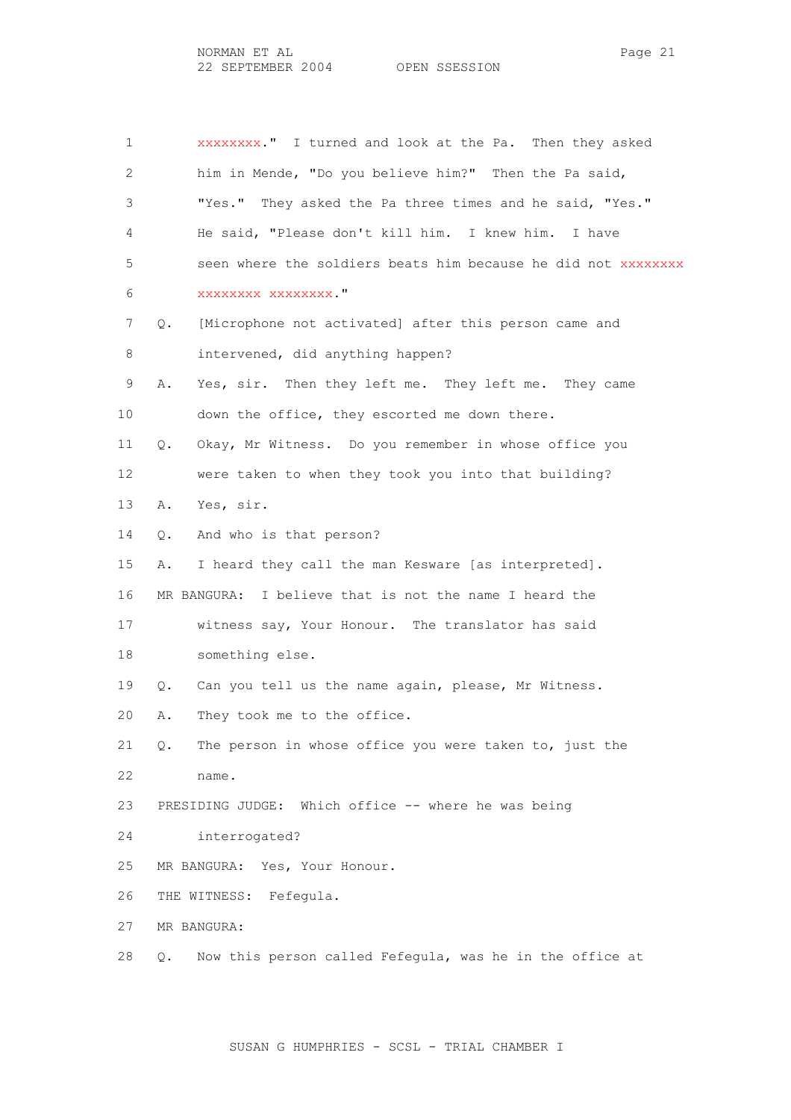1 xxxxxxxx." I turned and look at the Pa. Then they asked 2 him in Mende, "Do you believe him?" Then the Pa said, 3 "Yes." They asked the Pa three times and he said, "Yes." 4 He said, "Please don't kill him. I knew him. I have 5 seen where the soldiers beats him because he did not xxxxxxxx 6 xxxxxxxx xxxxxxxx." 7 Q. [Microphone not activated] after this person came and 8 intervened, did anything happen? 9 A. Yes, sir. Then they left me. They left me. They came 10 down the office, they escorted me down there. 11 Q. Okay, Mr Witness. Do you remember in whose office you 12 were taken to when they took you into that building? 13 A. Yes, sir. 14 Q. And who is that person? 15 A. I heard they call the man Kesware [as interpreted]. 16 MR BANGURA: I believe that is not the name I heard the 17 witness say, Your Honour. The translator has said 18 something else. 19 Q. Can you tell us the name again, please, Mr Witness. 20 A. They took me to the office. 21 Q. The person in whose office you were taken to, just the 22 name. 23 PRESIDING JUDGE: Which office -- where he was being 24 interrogated? 25 MR BANGURA: Yes, Your Honour. 26 THE WITNESS: Fefegula. 27 MR BANGURA: 28 Q. Now this person called Fefegula, was he in the office at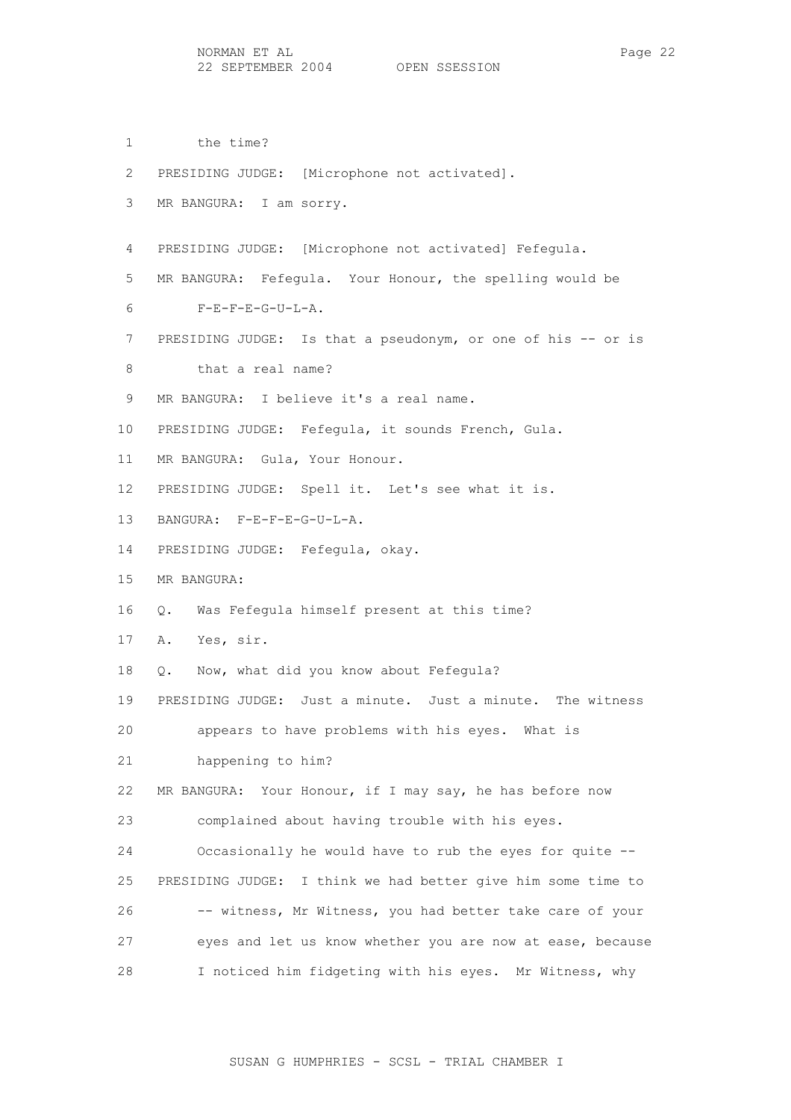1 the time? 2 PRESIDING JUDGE: [Microphone not activated]. 3 MR BANGURA: I am sorry. 4 PRESIDING JUDGE: [Microphone not activated] Fefegula. 5 MR BANGURA: Fefegula. Your Honour, the spelling would be 6 F-E-F-E-G-U-L-A. 7 PRESIDING JUDGE: Is that a pseudonym, or one of his -- or is 8 that a real name? 9 MR BANGURA: I believe it's a real name. 10 PRESIDING JUDGE: Fefegula, it sounds French, Gula. 11 MR BANGURA: Gula, Your Honour. 12 PRESIDING JUDGE: Spell it. Let's see what it is. 13 BANGURA: F-E-F-E-G-U-L-A. 14 PRESIDING JUDGE: Fefegula, okay. 15 MR BANGURA: 16 Q. Was Fefegula himself present at this time? 17 A. Yes, sir. 18 Q. Now, what did you know about Fefegula? 19 PRESIDING JUDGE: Just a minute. Just a minute. The witness 20 appears to have problems with his eyes. What is 21 happening to him? 22 MR BANGURA: Your Honour, if I may say, he has before now 23 complained about having trouble with his eyes. 24 Occasionally he would have to rub the eyes for quite -- 25 PRESIDING JUDGE: I think we had better give him some time to 26 -- witness, Mr Witness, you had better take care of your 27 eyes and let us know whether you are now at ease, because 28 I noticed him fidgeting with his eyes. Mr Witness, why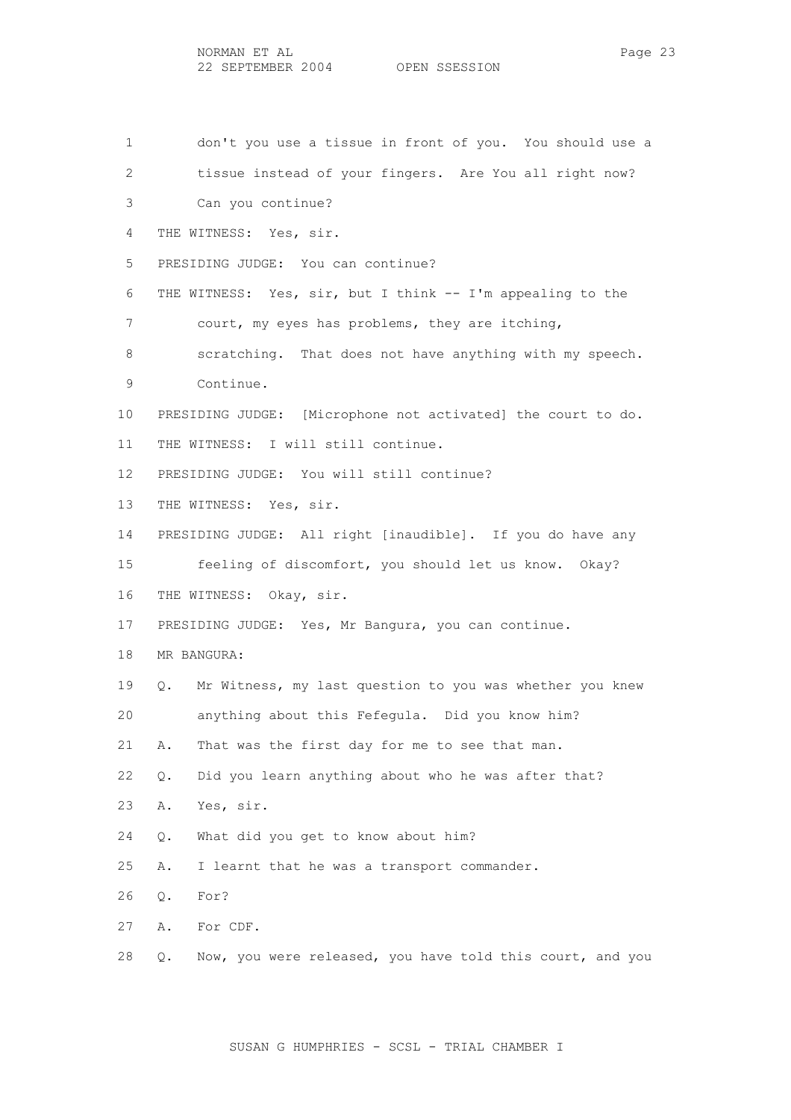| $\mathbf 1$     | don't you use a tissue in front of you. You should use a             |
|-----------------|----------------------------------------------------------------------|
| 2               | tissue instead of your fingers. Are You all right now?               |
| 3               | Can you continue?                                                    |
| 4               | THE WITNESS: Yes, sir.                                               |
| 5               | PRESIDING JUDGE: You can continue?                                   |
| 6               | THE WITNESS: Yes, sir, but I think -- I'm appealing to the           |
| 7               | court, my eyes has problems, they are itching,                       |
| 8               | scratching. That does not have anything with my speech.              |
| 9               | Continue.                                                            |
| 10 <sup>°</sup> | PRESIDING JUDGE: [Microphone not activated] the court to do.         |
| 11              | THE WITNESS: I will still continue.                                  |
| 12              | PRESIDING JUDGE: You will still continue?                            |
| 13              | THE WITNESS: Yes, sir.                                               |
| 14              | PRESIDING JUDGE: All right [inaudible]. If you do have any           |
| 15              | feeling of discomfort, you should let us know. Okay?                 |
| 16              | THE WITNESS: Okay, sir.                                              |
| 17              | PRESIDING JUDGE: Yes, Mr Bangura, you can continue.                  |
| 18              | MR BANGURA:                                                          |
| 19              | Mr Witness, my last question to you was whether you knew<br>О.       |
| 20              | anything about this Fefegula. Did you know him?                      |
| 21              | That was the first day for me to see that man.<br>Α.                 |
| 22              | Did you learn anything about who he was after that?<br>$Q_{\bullet}$ |
| 23              | Yes, sir.<br>Α.                                                      |
| 24              | What did you get to know about him?<br>Q.                            |
| 25              | I learnt that he was a transport commander.<br>Α.                    |
| 26              | For?<br>Q.                                                           |
| 27              | Α.<br>For CDF.                                                       |
| 28              | Now, you were released, you have told this court, and you<br>Q.      |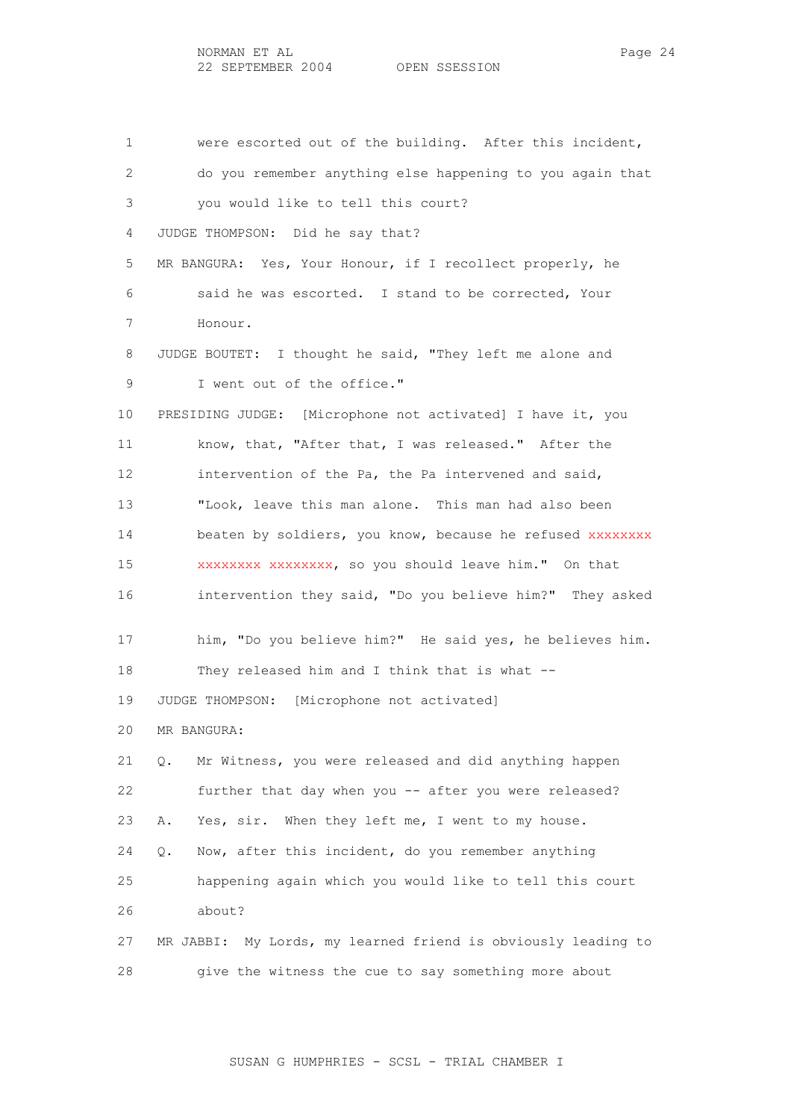1 were escorted out of the building. After this incident, 2 do you remember anything else happening to you again that 3 you would like to tell this court? 4 JUDGE THOMPSON: Did he say that? 5 MR BANGURA: Yes, Your Honour, if I recollect properly, he 6 said he was escorted. I stand to be corrected, Your 7 Honour. 8 JUDGE BOUTET: I thought he said, "They left me alone and 9 I went out of the office." 10 PRESIDING JUDGE: [Microphone not activated] I have it, you 11 know, that, "After that, I was released." After the 12 intervention of the Pa, the Pa intervened and said, 13 "Look, leave this man alone. This man had also been 14 beaten by soldiers, you know, because he refused xxxxxxxx 15 xxxxxxxx xxxxxxxx, so you should leave him." On that 16 intervention they said, "Do you believe him?" They asked 17 him, "Do you believe him?" He said yes, he believes him. 18 They released him and I think that is what -- 19 JUDGE THOMPSON: [Microphone not activated] 20 MR BANGURA: 21 Q. Mr Witness, you were released and did anything happen 22 further that day when you -- after you were released? 23 A. Yes, sir. When they left me, I went to my house. 24 Q. Now, after this incident, do you remember anything 25 happening again which you would like to tell this court 26 about? 27 MR JABBI: My Lords, my learned friend is obviously leading to 28 give the witness the cue to say something more about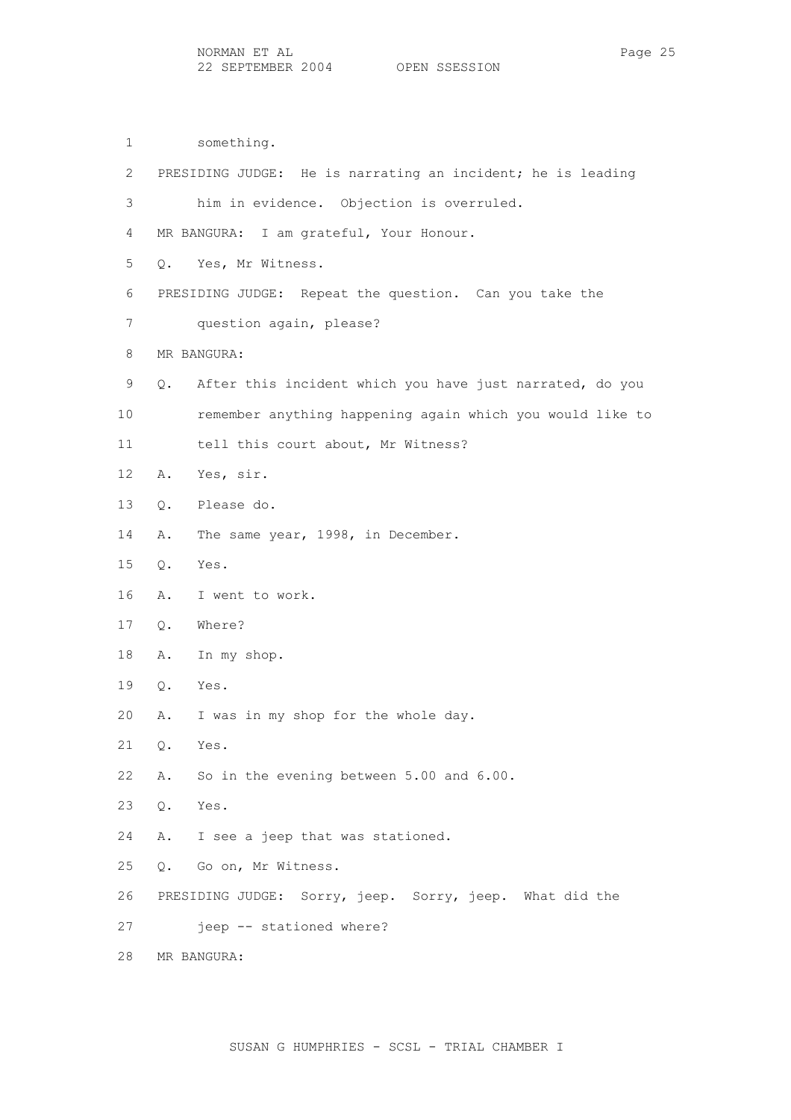1 something.

 2 PRESIDING JUDGE: He is narrating an incident; he is leading 3 him in evidence. Objection is overruled. 4 MR BANGURA: I am grateful, Your Honour. 5 Q. Yes, Mr Witness. 6 PRESIDING JUDGE: Repeat the question. Can you take the 7 question again, please? 8 MR BANGURA: 9 Q. After this incident which you have just narrated, do you 10 remember anything happening again which you would like to 11 tell this court about, Mr Witness? 12 A. Yes, sir. 13 Q. Please do. 14 A. The same year, 1998, in December. 15 Q. Yes. 16 A. I went to work. 17 Q. Where? 18 A. In my shop. 19 Q. Yes. 20 A. I was in my shop for the whole day. 21 Q. Yes. 22 A. So in the evening between 5.00 and 6.00. 23 Q. Yes. 24 A. I see a jeep that was stationed. 25 Q. Go on, Mr Witness. 26 PRESIDING JUDGE: Sorry, jeep. Sorry, jeep. What did the 27 jeep -- stationed where? 28 MR BANGURA: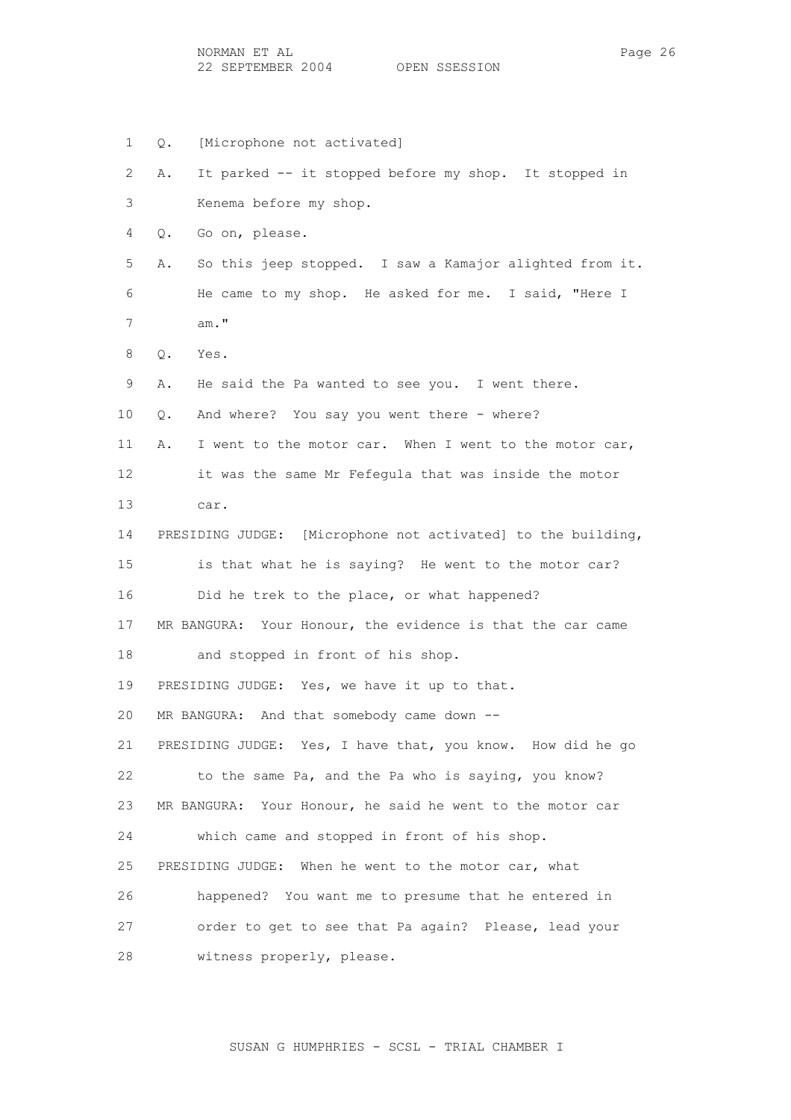NORMAN ET AL Page 26 22 SEPTEMBER 2004 OPEN SSESSION

 1 Q. [Microphone not activated] 2 A. It parked -- it stopped before my shop. It stopped in 3 Kenema before my shop. 4 Q. Go on, please. 5 A. So this jeep stopped. I saw a Kamajor alighted from it. 6 He came to my shop. He asked for me. I said, "Here I 7 am." 8 Q. Yes. 9 A. He said the Pa wanted to see you. I went there. 10 Q. And where? You say you went there - where? 11 A. I went to the motor car. When I went to the motor car, 12 it was the same Mr Fefegula that was inside the motor 13 car. 14 PRESIDING JUDGE: [Microphone not activated] to the building, 15 is that what he is saying? He went to the motor car? 16 Did he trek to the place, or what happened? 17 MR BANGURA: Your Honour, the evidence is that the car came 18 and stopped in front of his shop. 19 PRESIDING JUDGE: Yes, we have it up to that. 20 MR BANGURA: And that somebody came down -- 21 PRESIDING JUDGE: Yes, I have that, you know. How did he go 22 to the same Pa, and the Pa who is saying, you know? 23 MR BANGURA: Your Honour, he said he went to the motor car 24 which came and stopped in front of his shop. 25 PRESIDING JUDGE: When he went to the motor car, what 26 happened? You want me to presume that he entered in 27 order to get to see that Pa again? Please, lead your 28 witness properly, please.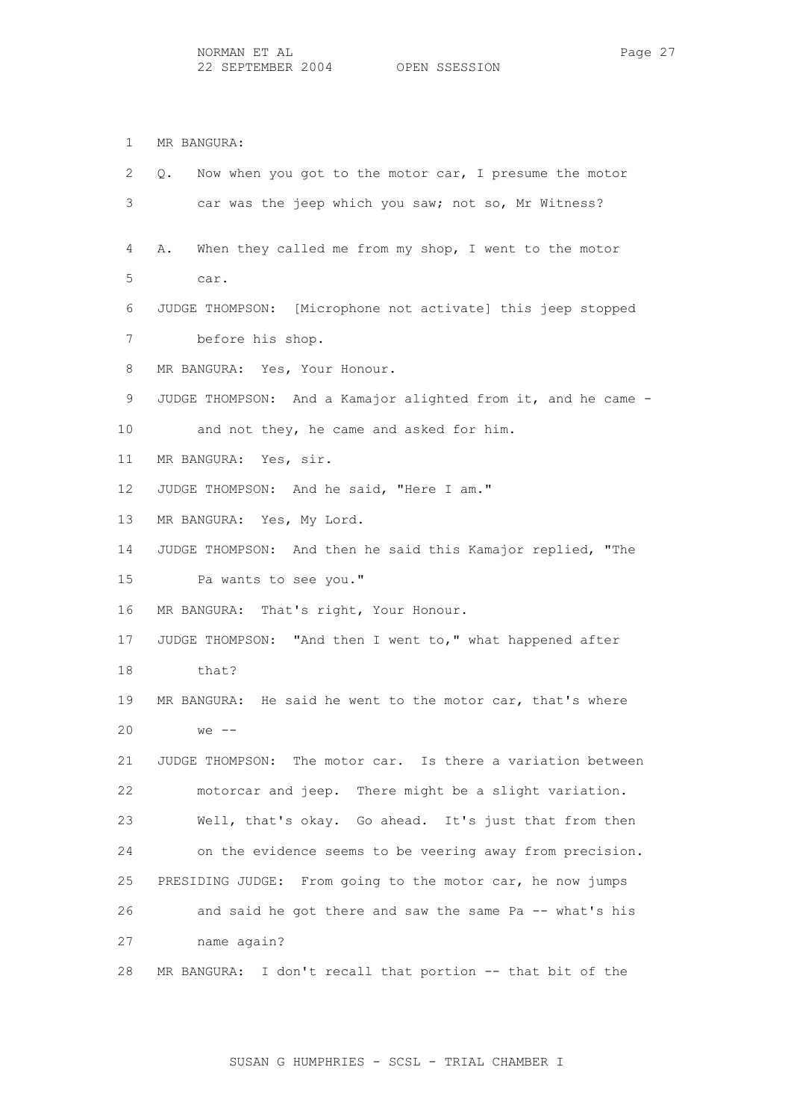1 MR BANGURA: 2 Q. Now when you got to the motor car, I presume the motor 3 car was the jeep which you saw; not so, Mr Witness? 4 A. When they called me from my shop, I went to the motor 5 car. 6 JUDGE THOMPSON: [Microphone not activate] this jeep stopped 7 before his shop. 8 MR BANGURA: Yes, Your Honour. 9 JUDGE THOMPSON: And a Kamajor alighted from it, and he came - 10 and not they, he came and asked for him. 11 MR BANGURA: Yes, sir. 12 JUDGE THOMPSON: And he said, "Here I am." 13 MR BANGURA: Yes, My Lord. 14 JUDGE THOMPSON: And then he said this Kamajor replied, "The 15 Pa wants to see you." 16 MR BANGURA: That's right, Your Honour. 17 JUDGE THOMPSON: "And then I went to," what happened after 18 that? 19 MR BANGURA: He said he went to the motor car, that's where 20 we -- 21 JUDGE THOMPSON: The motor car. Is there a variation between 22 motorcar and jeep. There might be a slight variation. 23 Well, that's okay. Go ahead. It's just that from then 24 on the evidence seems to be veering away from precision. 25 PRESIDING JUDGE: From going to the motor car, he now jumps 26 and said he got there and saw the same Pa -- what's his 27 name again? 28 MR BANGURA: I don't recall that portion -- that bit of the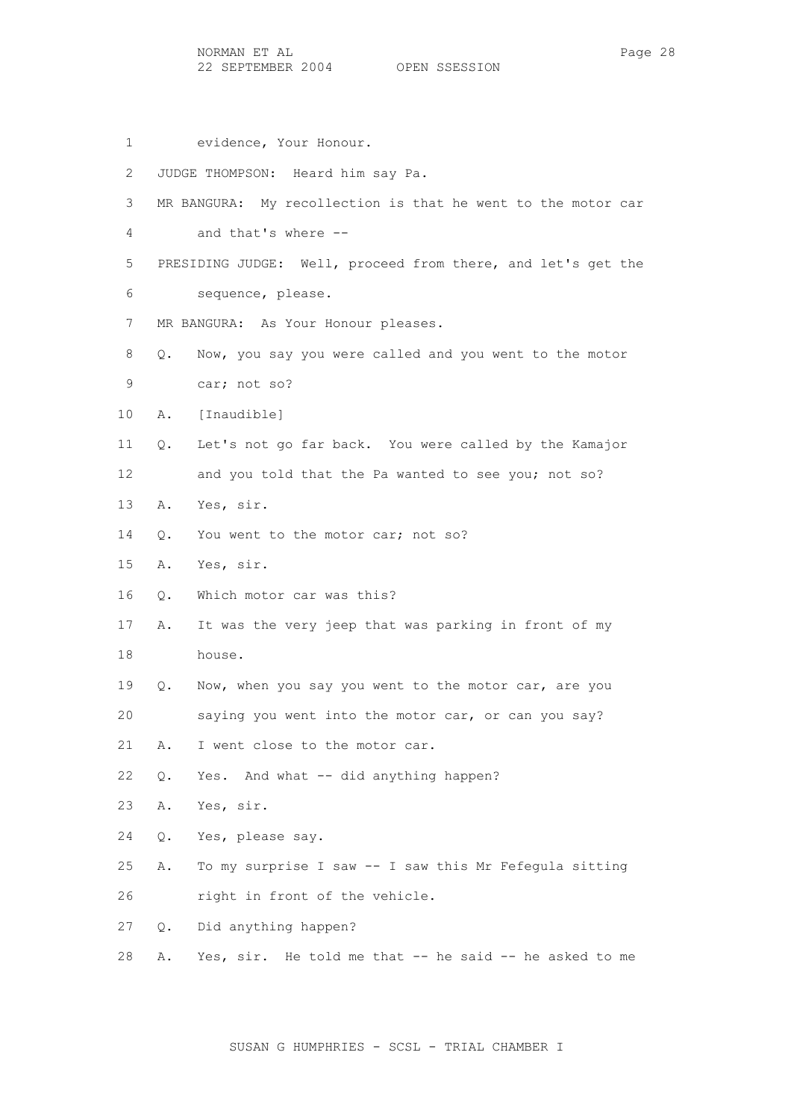1 evidence, Your Honour. 2 JUDGE THOMPSON: Heard him say Pa. 3 MR BANGURA: My recollection is that he went to the motor car 4 and that's where -- 5 PRESIDING JUDGE: Well, proceed from there, and let's get the 6 sequence, please. 7 MR BANGURA: As Your Honour pleases. 8 Q. Now, you say you were called and you went to the motor 9 car; not so? 10 A. [Inaudible] 11 Q. Let's not go far back. You were called by the Kamajor 12 and you told that the Pa wanted to see you; not so? 13 A. Yes, sir. 14 O. You went to the motor car; not so? 15 A. Yes, sir. 16 Q. Which motor car was this? 17 A. It was the very jeep that was parking in front of my 18 house. 19 Q. Now, when you say you went to the motor car, are you 20 saying you went into the motor car, or can you say? 21 A. I went close to the motor car. 22 Q. Yes. And what -- did anything happen? 23 A. Yes, sir. 24 Q. Yes, please say. 25 A. To my surprise I saw -- I saw this Mr Fefegula sitting 26 right in front of the vehicle. 27 Q. Did anything happen? 28 A. Yes, sir. He told me that -- he said -- he asked to me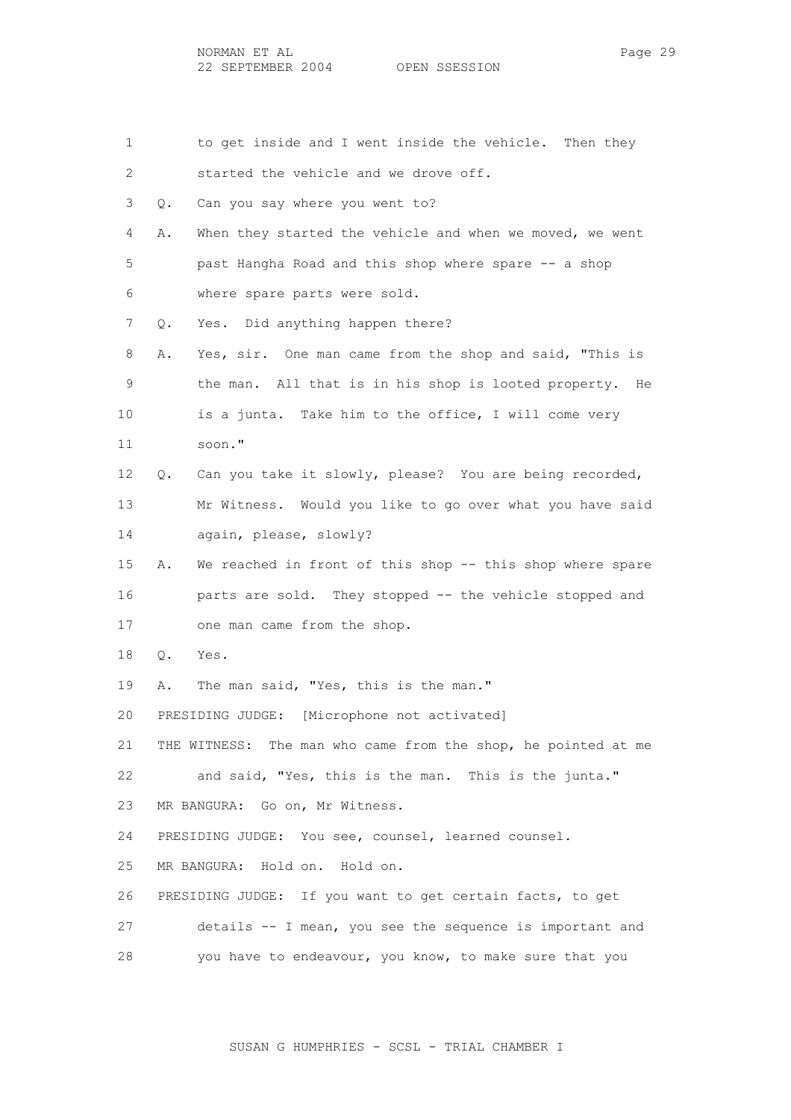1 to get inside and I went inside the vehicle. Then they 2 started the vehicle and we drove off. 3 Q. Can you say where you went to? 4 A. When they started the vehicle and when we moved, we went 5 past Hangha Road and this shop where spare -- a shop 6 where spare parts were sold. 7 Q. Yes. Did anything happen there? 8 A. Yes, sir. One man came from the shop and said, "This is 9 the man. All that is in his shop is looted property. He 10 is a junta. Take him to the office, I will come very 11 soon." 12 Q. Can you take it slowly, please? You are being recorded, 13 Mr Witness. Would you like to go over what you have said 14 again, please, slowly? 15 A. We reached in front of this shop -- this shop where spare 16 parts are sold. They stopped -- the vehicle stopped and 17 one man came from the shop. 18 Q. Yes. 19 A. The man said, "Yes, this is the man." 20 PRESIDING JUDGE: [Microphone not activated] 21 THE WITNESS: The man who came from the shop, he pointed at me 22 and said, "Yes, this is the man. This is the junta." 23 MR BANGURA: Go on, Mr Witness. 24 PRESIDING JUDGE: You see, counsel, learned counsel. 25 MR BANGURA: Hold on. Hold on. 26 PRESIDING JUDGE: If you want to get certain facts, to get 27 details -- I mean, you see the sequence is important and 28 you have to endeavour, you know, to make sure that you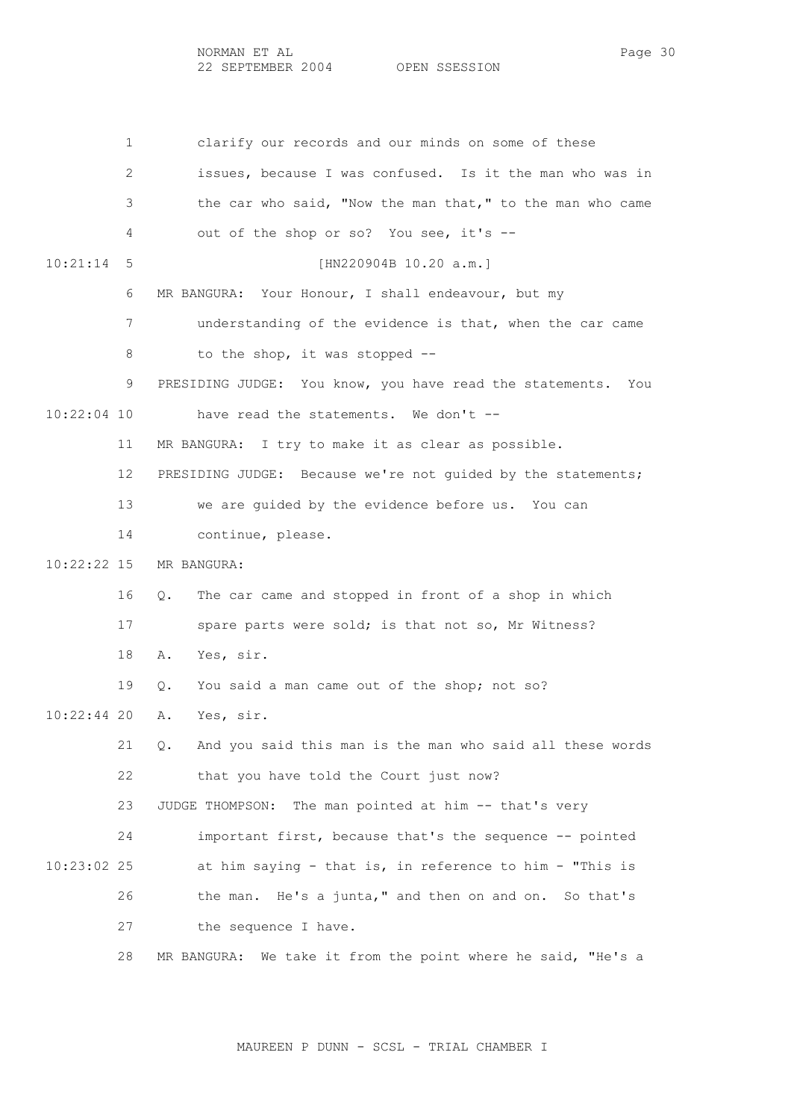NORMAN ET AL Page 30 22 SEPTEMBER 2004 OPEN SSESSION

 1 clarify our records and our minds on some of these 2 issues, because I was confused. Is it the man who was in 3 the car who said, "Now the man that," to the man who came 4 out of the shop or so? You see, it's -- 10:21:14 5 [HN220904B 10.20 a.m.] 6 MR BANGURA: Your Honour, I shall endeavour, but my 7 understanding of the evidence is that, when the car came 8 to the shop, it was stopped -- 9 PRESIDING JUDGE: You know, you have read the statements. You 10:22:04 10 have read the statements. We don't -- 11 MR BANGURA: I try to make it as clear as possible. 12 PRESIDING JUDGE: Because we're not guided by the statements; 13 we are guided by the evidence before us. You can 14 continue, please. 10:22:22 15 MR BANGURA: 16 Q. The car came and stopped in front of a shop in which 17 spare parts were sold; is that not so, Mr Witness? 18 A. Yes, sir. 19 Q. You said a man came out of the shop; not so? 10:22:44 20 A. Yes, sir. 21 Q. And you said this man is the man who said all these words 22 that you have told the Court just now? 23 JUDGE THOMPSON: The man pointed at him -- that's very 24 important first, because that's the sequence -- pointed 10:23:02 25 at him saying - that is, in reference to him - "This is 26 the man. He's a junta," and then on and on. So that's 27 the sequence I have. 28 MR BANGURA: We take it from the point where he said, "He's a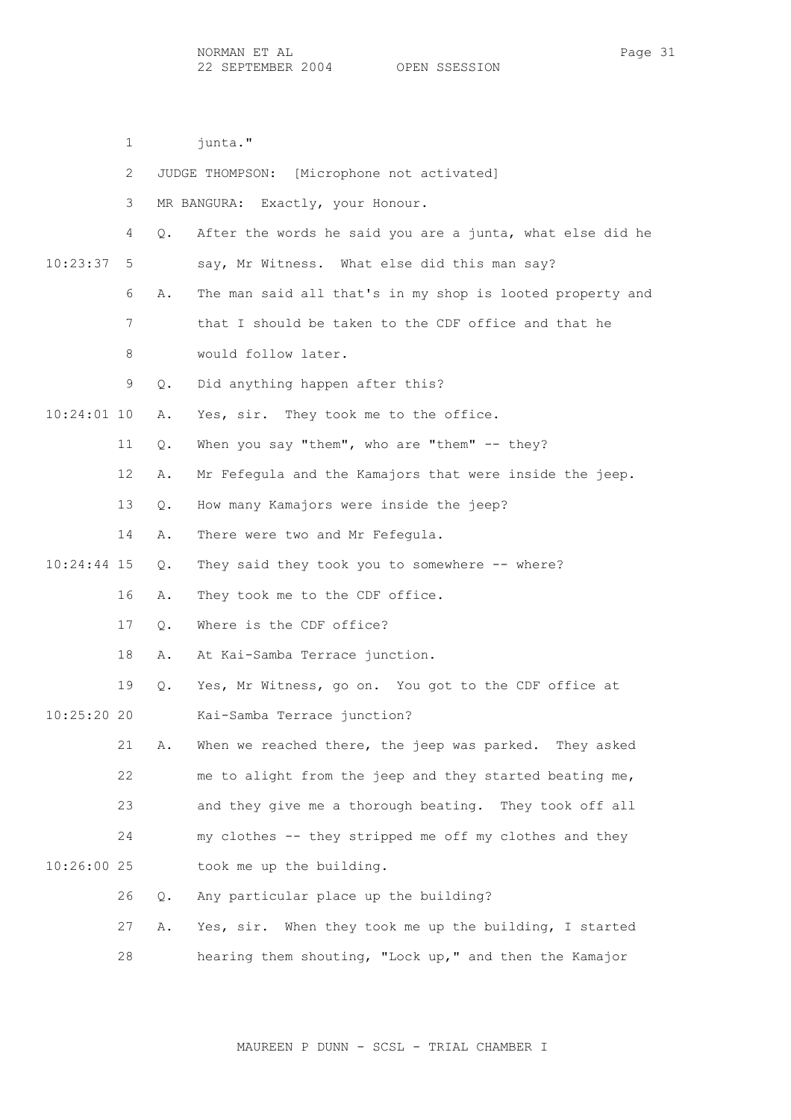1 iunta." 2 JUDGE THOMPSON: [Microphone not activated] 3 MR BANGURA: Exactly, your Honour. 4 Q. After the words he said you are a junta, what else did he 10:23:37 5 say, Mr Witness. What else did this man say? 6 A. The man said all that's in my shop is looted property and 7 that I should be taken to the CDF office and that he 8 would follow later. 9 Q. Did anything happen after this? 10:24:01 10 A. Yes, sir. They took me to the office. 11 Q. When you say "them", who are "them" -- they? 12 A. Mr Fefegula and the Kamajors that were inside the jeep. 13 Q. How many Kamajors were inside the jeep? 14 A. There were two and Mr Fefegula. 10:24:44 15 Q. They said they took you to somewhere -- where? 16 A. They took me to the CDF office. 17 Q. Where is the CDF office? 18 A. At Kai-Samba Terrace junction. 19 Q. Yes, Mr Witness, go on. You got to the CDF office at 10:25:20 20 Kai-Samba Terrace junction? 21 A. When we reached there, the jeep was parked. They asked 22 me to alight from the jeep and they started beating me, 23 and they give me a thorough beating. They took off all 24 my clothes -- they stripped me off my clothes and they 10:26:00 25 took me up the building. 26 Q. Any particular place up the building? 27 A. Yes, sir. When they took me up the building, I started 28 hearing them shouting, "Lock up," and then the Kamajor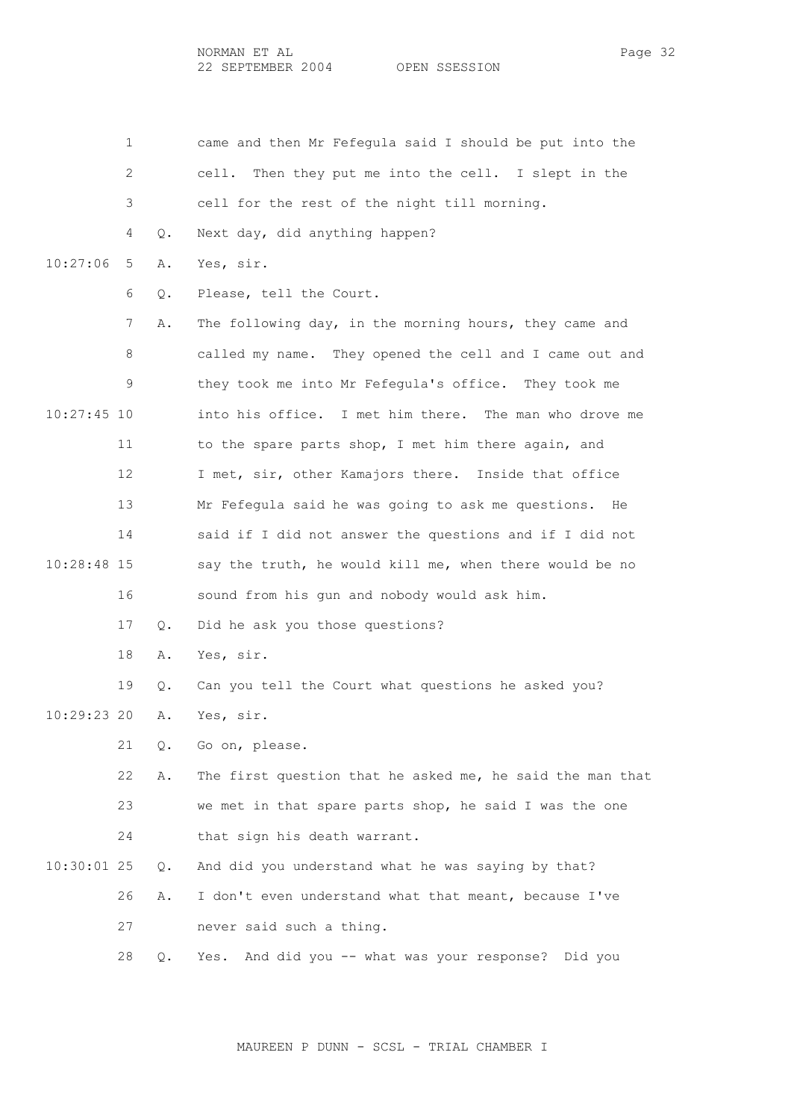|               | 1  |       | came and then Mr Fefegula said I should be put into the   |
|---------------|----|-------|-----------------------------------------------------------|
|               | 2  |       | Then they put me into the cell. I slept in the<br>cell.   |
|               | 3  |       | cell for the rest of the night till morning.              |
|               | 4  | О.    | Next day, did anything happen?                            |
| 10:27:06      | 5  | Α.    | Yes, sir.                                                 |
|               | 6  | Q.    | Please, tell the Court.                                   |
|               | 7  | Α.    | The following day, in the morning hours, they came and    |
|               | 8  |       | called my name. They opened the cell and I came out and   |
|               | 9  |       | they took me into Mr Fefegula's office. They took me      |
| $10:27:45$ 10 |    |       | into his office. I met him there. The man who drove me    |
|               | 11 |       | to the spare parts shop, I met him there again, and       |
|               | 12 |       | I met, sir, other Kamajors there. Inside that office      |
|               | 13 |       | Mr Fefequla said he was going to ask me questions.<br>He  |
|               | 14 |       | said if I did not answer the questions and if I did not   |
| 10:28:48 15   |    |       | say the truth, he would kill me, when there would be no   |
|               | 16 |       | sound from his gun and nobody would ask him.              |
|               | 17 | Q.    | Did he ask you those questions?                           |
|               | 18 | Α.    | Yes, sir.                                                 |
|               | 19 | Q.    | Can you tell the Court what questions he asked you?       |
| 10:29:23 20   |    | Α.    | Yes, sir.                                                 |
|               | 21 | Q.    | Go on, please.                                            |
|               | 22 | Α.    | The first question that he asked me, he said the man that |
|               | 23 |       | we met in that spare parts shop, he said I was the one    |
|               | 24 |       | that sign his death warrant.                              |
| $10:30:01$ 25 |    | $Q$ . | And did you understand what he was saying by that?        |
|               | 26 | Α.    | I don't even understand what that meant, because I've     |
|               | 27 |       | never said such a thing.                                  |
|               | 28 | Q.    | And did you -- what was your response? Did you<br>Yes.    |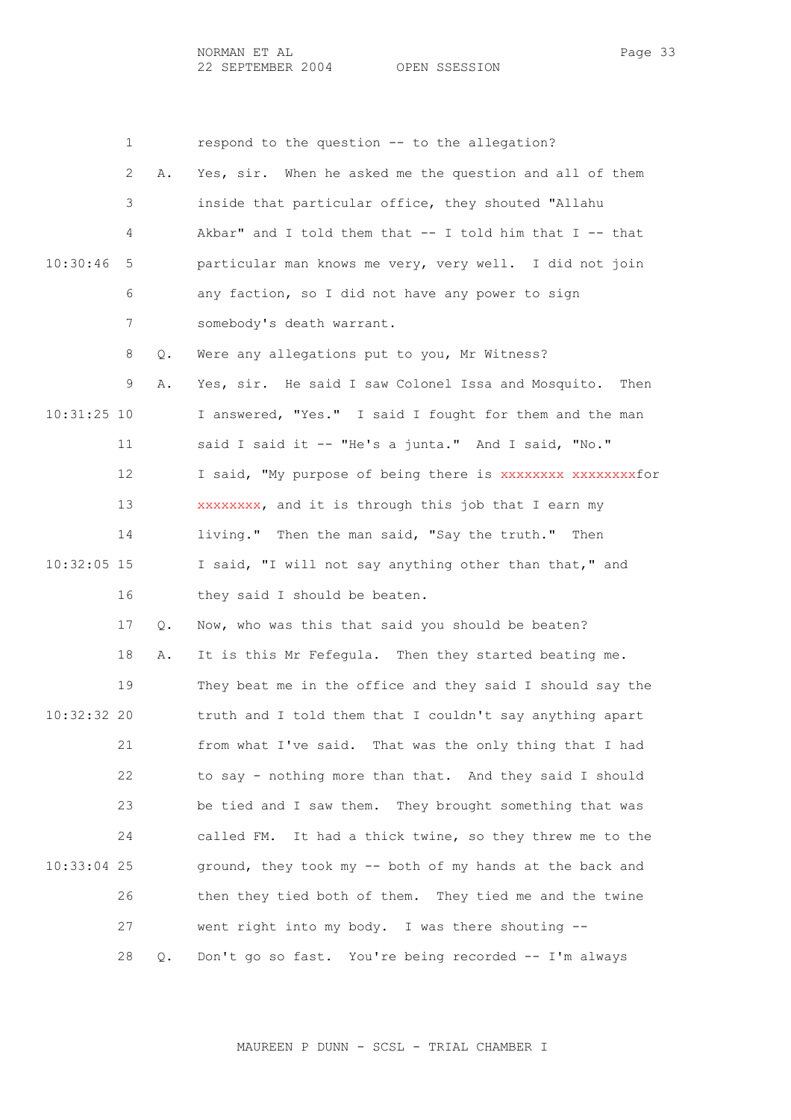|               | 1  |    | respond to the question -- to the allegation?                |
|---------------|----|----|--------------------------------------------------------------|
|               | 2  | Α. | Yes, sir. When he asked me the question and all of them      |
|               | 3  |    | inside that particular office, they shouted "Allahu          |
|               | 4  |    | Akbar" and I told them that $--$ I told him that I $--$ that |
| 10:30:46      | 5  |    | particular man knows me very, very well. I did not join      |
|               | 6  |    | any faction, so I did not have any power to sign             |
|               | 7  |    | somebody's death warrant.                                    |
|               | 8  | Q. | Were any allegations put to you, Mr Witness?                 |
|               | 9  | Α. | Yes, sir. He said I saw Colonel Issa and Mosquito. Then      |
| $10:31:25$ 10 |    |    | I answered, "Yes." I said I fought for them and the man      |
|               | 11 |    | said I said it -- "He's a junta." And I said, "No."          |
|               | 12 |    | I said, "My purpose of being there is XXXXXXXX XXXXXXXXfor   |
|               | 13 |    | xxxxxxxx, and it is through this job that I earn my          |
|               | 14 |    | living." Then the man said, "Say the truth." Then            |
| $10:32:05$ 15 |    |    | I said, "I will not say anything other than that," and       |
|               | 16 |    | they said I should be beaten.                                |
|               | 17 | Q. | Now, who was this that said you should be beaten?            |
|               | 18 | Α. | It is this Mr Fefegula. Then they started beating me.        |
|               | 19 |    | They beat me in the office and they said I should say the    |
| $10:32:32$ 20 |    |    | truth and I told them that I couldn't say anything apart     |
|               | 21 |    | from what I've said. That was the only thing that I had      |
|               | 22 |    | to say - nothing more than that. And they said I should      |
|               | 23 |    | be tied and I saw them. They brought something that was      |
|               | 24 |    | called FM. It had a thick twine, so they threw me to the     |
| $10:33:04$ 25 |    |    | ground, they took my -- both of my hands at the back and     |
|               | 26 |    | then they tied both of them. They tied me and the twine      |
|               | 27 |    | went right into my body. I was there shouting --             |
|               | 28 | Q. | Don't go so fast. You're being recorded -- I'm always        |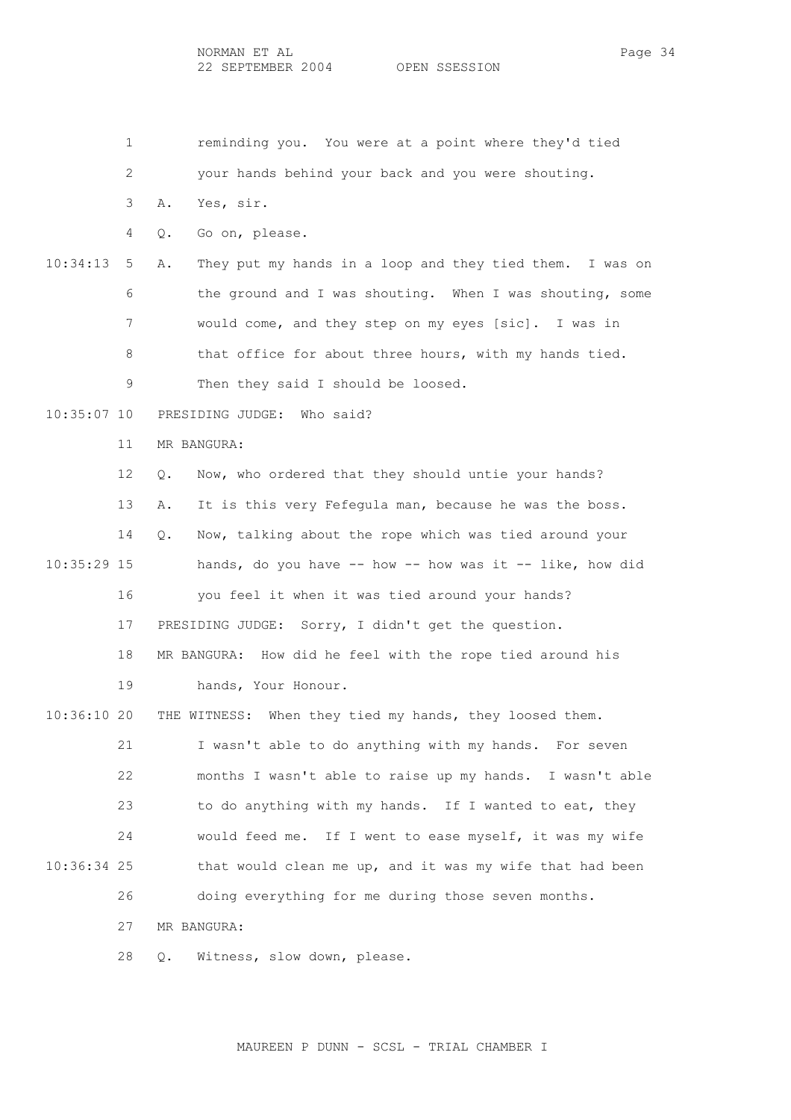1 reminding you. You were at a point where they'd tied 2 your hands behind your back and you were shouting. 3 A. Yes, sir. 4 Q. Go on, please. 10:34:13 5 A. They put my hands in a loop and they tied them. I was on 6 the ground and I was shouting. When I was shouting, some 7 would come, and they step on my eyes [sic]. I was in 8 that office for about three hours, with my hands tied. 9 Then they said I should be loosed. 10:35:07 10 PRESIDING JUDGE: Who said? 11 MR BANGURA: 12 Q. Now, who ordered that they should untie your hands? 13 A. It is this very Fefegula man, because he was the boss. 14 Q. Now, talking about the rope which was tied around your  $10:35:29$  15 hands, do you have  $-$  how  $-$  how was it  $-$  like, how did 16 you feel it when it was tied around your hands? 17 PRESIDING JUDGE: Sorry, I didn't get the question. 18 MR BANGURA: How did he feel with the rope tied around his 19 hands, Your Honour. 10:36:10 20 THE WITNESS: When they tied my hands, they loosed them. 21 I wasn't able to do anything with my hands. For seven 22 months I wasn't able to raise up my hands. I wasn't able 23 to do anything with my hands. If I wanted to eat, they 24 would feed me. If I went to ease myself, it was my wife 10:36:34 25 that would clean me up, and it was my wife that had been 26 doing everything for me during those seven months. 27 MR BANGURA: 28 Q. Witness, slow down, please.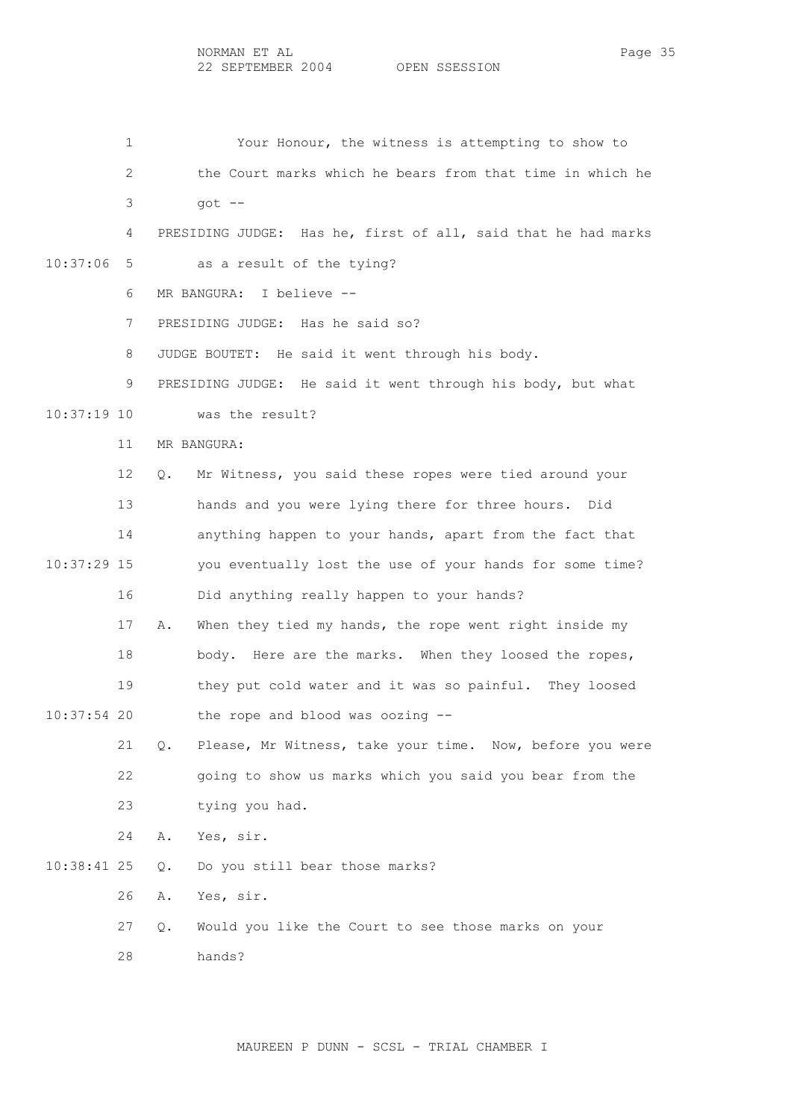1 Your Honour, the witness is attempting to show to 2 the Court marks which he bears from that time in which he  $3 \qquad \qquad \text{qot} -$  4 PRESIDING JUDGE: Has he, first of all, said that he had marks 10:37:06 5 as a result of the tying? 6 MR BANGURA: I believe -- 7 PRESIDING JUDGE: Has he said so? 8 JUDGE BOUTET: He said it went through his body. 9 PRESIDING JUDGE: He said it went through his body, but what 10:37:19 10 was the result? 11 MR BANGURA: 12 Q. Mr Witness, you said these ropes were tied around your 13 hands and you were lying there for three hours. Did 14 anything happen to your hands, apart from the fact that 10:37:29 15 you eventually lost the use of your hands for some time? 16 Did anything really happen to your hands? 17 A. When they tied my hands, the rope went right inside my 18 body. Here are the marks. When they loosed the ropes, 19 they put cold water and it was so painful. They loosed 10:37:54 20 the rope and blood was oozing -- 21 Q. Please, Mr Witness, take your time. Now, before you were 22 going to show us marks which you said you bear from the 23 tying you had. 24 A. Yes, sir. 10:38:41 25 Q. Do you still bear those marks? 26 A. Yes, sir. 27 Q. Would you like the Court to see those marks on your 28 hands?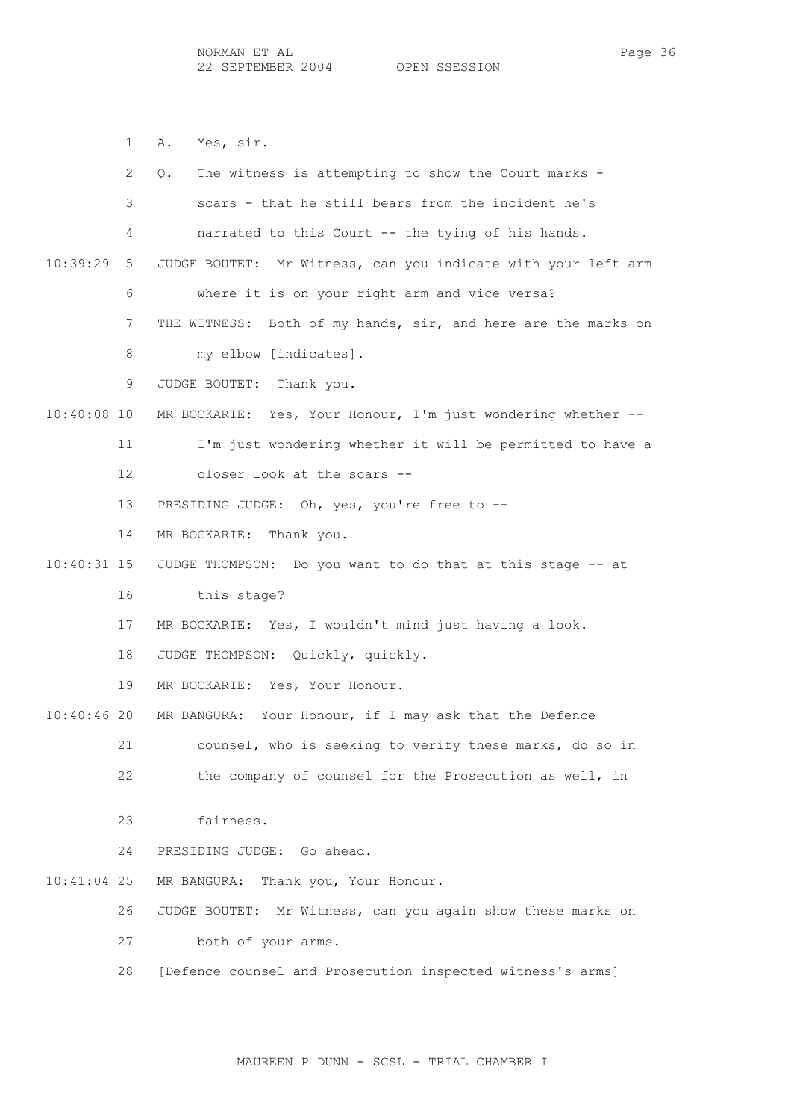1 A. Yes, sir.

|               | 2  | The witness is attempting to show the Court marks -<br>Q.        |
|---------------|----|------------------------------------------------------------------|
|               | 3  | scars - that he still bears from the incident he's               |
|               | 4  | narrated to this Court -- the tying of his hands.                |
| 10:39:29      | 5  | JUDGE BOUTET:<br>Mr Witness, can you indicate with your left arm |
|               | 6  | where it is on your right arm and vice versa?                    |
|               | 7  | Both of my hands, sir, and here are the marks on<br>THE WITNESS: |
|               | 8  | my elbow [indicates].                                            |
|               | 9  | JUDGE BOUTET:<br>Thank you.                                      |
| $10:40:08$ 10 |    | MR BOCKARIE: Yes, Your Honour, I'm just wondering whether --     |
|               | 11 | I'm just wondering whether it will be permitted to have a        |
|               | 12 | closer look at the scars --                                      |
|               | 13 | PRESIDING JUDGE: Oh, yes, you're free to --                      |
|               | 14 | MR BOCKARIE:<br>Thank you.                                       |
| $10:40:31$ 15 |    | JUDGE THOMPSON: Do you want to do that at this stage -- at       |
|               | 16 | this stage?                                                      |
|               | 17 | MR BOCKARIE: Yes, I wouldn't mind just having a look.            |
|               | 18 | JUDGE THOMPSON: Quickly, quickly.                                |
|               | 19 | MR BOCKARIE: Yes, Your Honour.                                   |
| $10:40:46$ 20 |    | MR BANGURA: Your Honour, if I may ask that the Defence           |
|               | 21 | counsel, who is seeking to verify these marks, do so in          |
|               | 22 | the company of counsel for the Prosecution as well, in           |
|               |    |                                                                  |
|               | 23 | fairness.                                                        |
|               | 24 | PRESIDING JUDGE: Go ahead.                                       |
| $10:41:04$ 25 |    | MR BANGURA:<br>Thank you, Your Honour.                           |
|               | 26 | Mr Witness, can you again show these marks on<br>JUDGE BOUTET:   |
|               | 27 | both of your arms.                                               |
|               | 28 | [Defence counsel and Prosecution inspected witness's arms]       |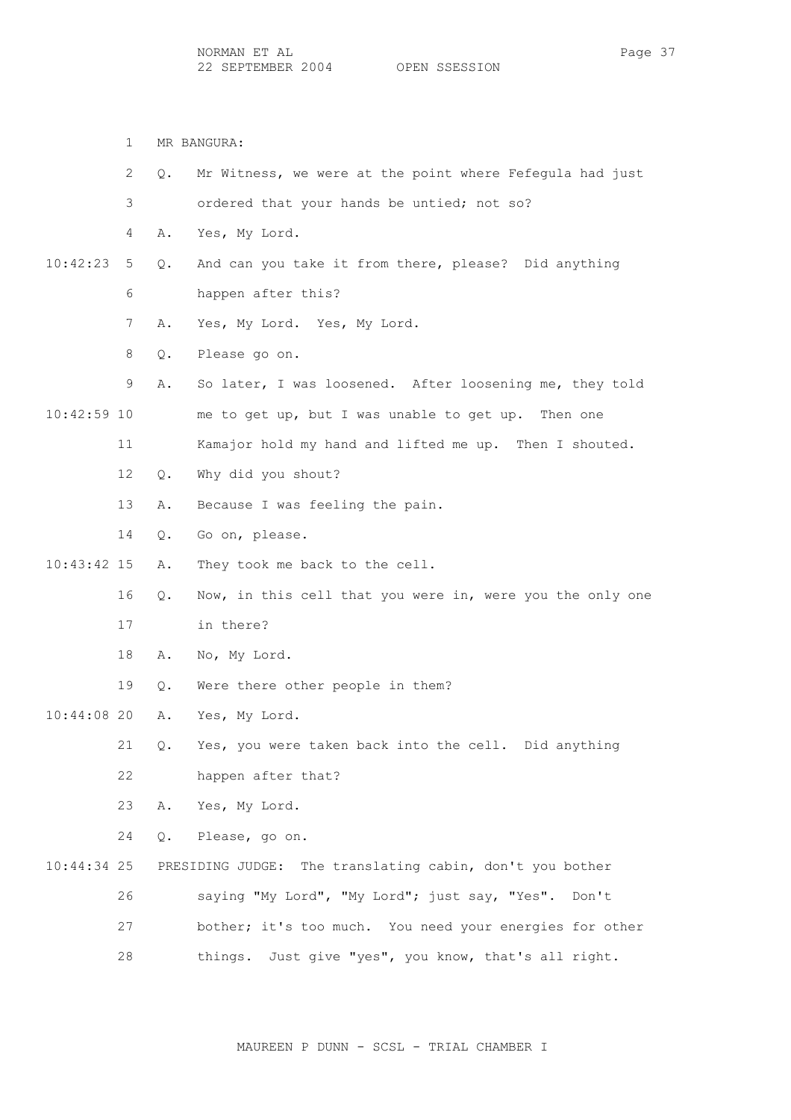1 MR BANGURA: 2 Q. Mr Witness, we were at the point where Fefegula had just 3 ordered that your hands be untied; not so? 4 A. Yes, My Lord. 10:42:23 5 Q. And can you take it from there, please? Did anything 6 happen after this? 7 A. Yes, My Lord. Yes, My Lord. 8 Q. Please go on. 9 A. So later, I was loosened. After loosening me, they told 10:42:59 10 me to get up, but I was unable to get up. Then one 11 Kamajor hold my hand and lifted me up. Then I shouted. 12 Q. Why did you shout? 13 A. Because I was feeling the pain. 14 Q. Go on, please. 10:43:42 15 A. They took me back to the cell. 16 Q. Now, in this cell that you were in, were you the only one 17 in there? 18 A. No, My Lord. 19 Q. Were there other people in them? 10:44:08 20 A. Yes, My Lord. 21 Q. Yes, you were taken back into the cell. Did anything 22 happen after that? 23 A. Yes, My Lord. 24 Q. Please, go on. 10:44:34 25 PRESIDING JUDGE: The translating cabin, don't you bother 26 saying "My Lord", "My Lord"; just say, "Yes". Don't 27 bother; it's too much. You need your energies for other 28 things. Just give "yes", you know, that's all right.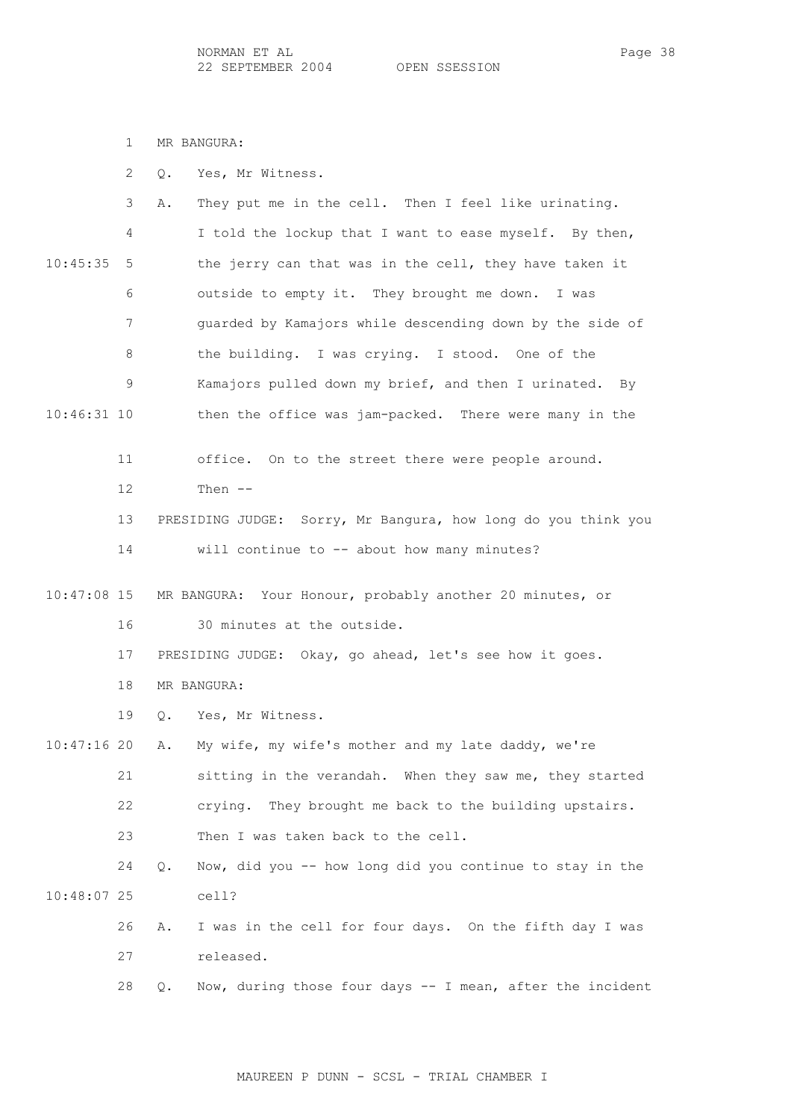1 MR BANGURA:

|  |  |  |  | Yes, Mr Witness. |
|--|--|--|--|------------------|
|--|--|--|--|------------------|

|               | 3  | They put me in the cell. Then I feel like urinating.<br>Α.      |
|---------------|----|-----------------------------------------------------------------|
|               | 4  | I told the lockup that I want to ease myself. By then,          |
| 10:45:35      | 5  | the jerry can that was in the cell, they have taken it          |
|               | 6  | outside to empty it. They brought me down. I was                |
|               | 7  | guarded by Kamajors while descending down by the side of        |
|               | 8  | the building. I was crying. I stood. One of the                 |
|               | 9  | Kamajors pulled down my brief, and then I urinated. By          |
| $10:46:31$ 10 |    | then the office was jam-packed. There were many in the          |
|               | 11 | office. On to the street there were people around.              |
|               | 12 | Then $--$                                                       |
|               | 13 | PRESIDING JUDGE: Sorry, Mr Bangura, how long do you think you   |
|               | 14 | will continue to -- about how many minutes?                     |
| $10:47:08$ 15 |    | MR BANGURA: Your Honour, probably another 20 minutes, or        |
|               | 16 | 30 minutes at the outside.                                      |
|               | 17 | PRESIDING JUDGE: Okay, go ahead, let's see how it goes.         |
|               | 18 | MR BANGURA:                                                     |
|               | 19 | Yes, Mr Witness.<br>О.                                          |
| 10:47:1620    |    | My wife, my wife's mother and my late daddy, we're<br>Α.        |
|               | 21 | sitting in the verandah. When they saw me, they started         |
|               | 22 | They brought me back to the building upstairs.<br>crying.       |
|               | 23 | Then I was taken back to the cell.                              |
|               | 24 | Now, did you -- how long did you continue to stay in the<br>Q.  |
| 10:48:07 25   |    | cell?                                                           |
|               | 26 | I was in the cell for four days. On the fifth day I was<br>Α.   |
|               | 27 | released.                                                       |
|               | 28 | Now, during those four days -- I mean, after the incident<br>Q. |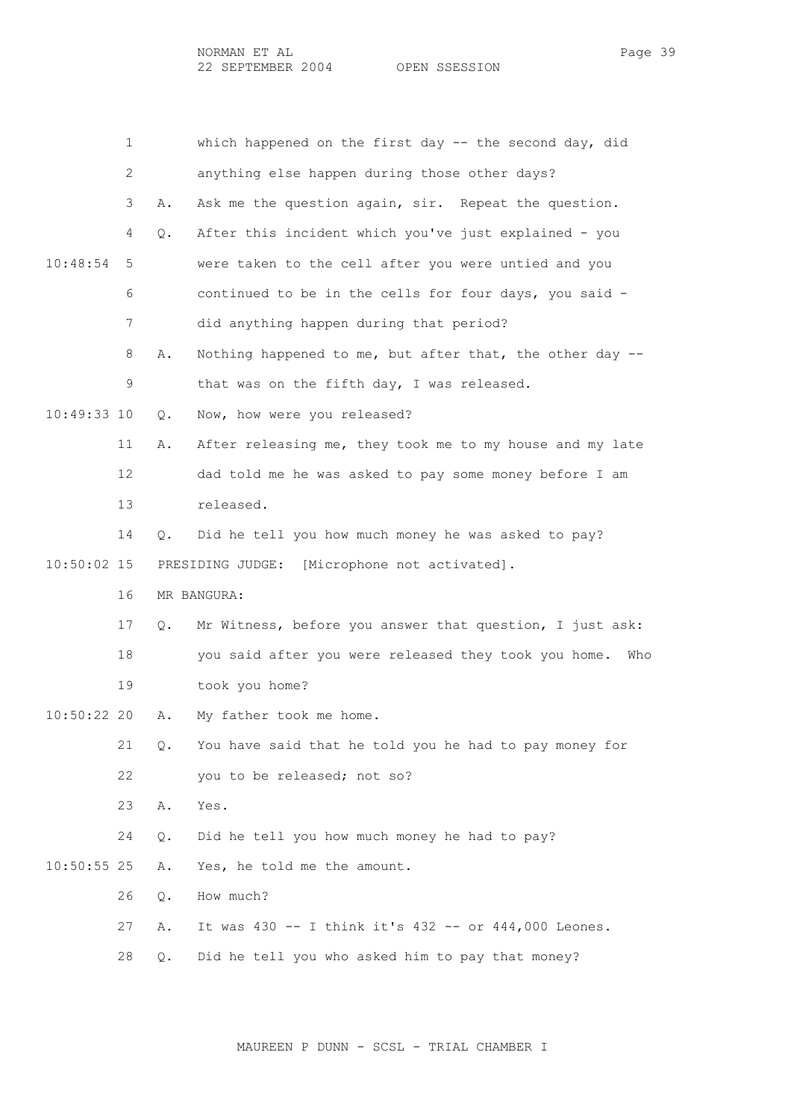|               | 1  |       | which happened on the first day -- the second day, did      |
|---------------|----|-------|-------------------------------------------------------------|
|               | 2  |       | anything else happen during those other days?               |
|               | 3  | Α.    | Ask me the question again, sir. Repeat the question.        |
|               | 4  | Q.    | After this incident which you've just explained - you       |
| 10:48:54      | 5  |       | were taken to the cell after you were untied and you        |
|               | 6  |       | continued to be in the cells for four days, you said -      |
|               | 7  |       | did anything happen during that period?                     |
|               | 8  | Α.    | Nothing happened to me, but after that, the other day --    |
|               | 9  |       | that was on the fifth day, I was released.                  |
| 10:49:33 10   |    | Q.    | Now, how were you released?                                 |
|               | 11 | Α.    | After releasing me, they took me to my house and my late    |
|               | 12 |       | dad told me he was asked to pay some money before I am      |
|               | 13 |       | released.                                                   |
|               | 14 | Q.    | Did he tell you how much money he was asked to pay?         |
| $10:50:02$ 15 |    |       | PRESIDING JUDGE:<br>[Microphone not activated].             |
|               | 16 |       | MR BANGURA:                                                 |
|               | 17 | Q.    | Mr Witness, before you answer that question, I just ask:    |
|               | 18 |       | you said after you were released they took you home.<br>Who |
|               | 19 |       | took you home?                                              |
| 10:50:22 20   |    | Α.    | My father took me home.                                     |
|               | 21 | $Q$ . | You have said that he told you he had to pay money for      |
|               | 22 |       | you to be released; not so?                                 |
|               | 23 | Α.    | Yes.                                                        |
|               | 24 | Q.    | Did he tell you how much money he had to pay?               |
| $10:50:55$ 25 |    | Α.    | Yes, he told me the amount.                                 |
|               | 26 | Q.    | How much?                                                   |
|               | 27 | Α.    | It was 430 -- I think it's 432 -- or 444,000 Leones.        |
|               | 28 | Q.    | Did he tell you who asked him to pay that money?            |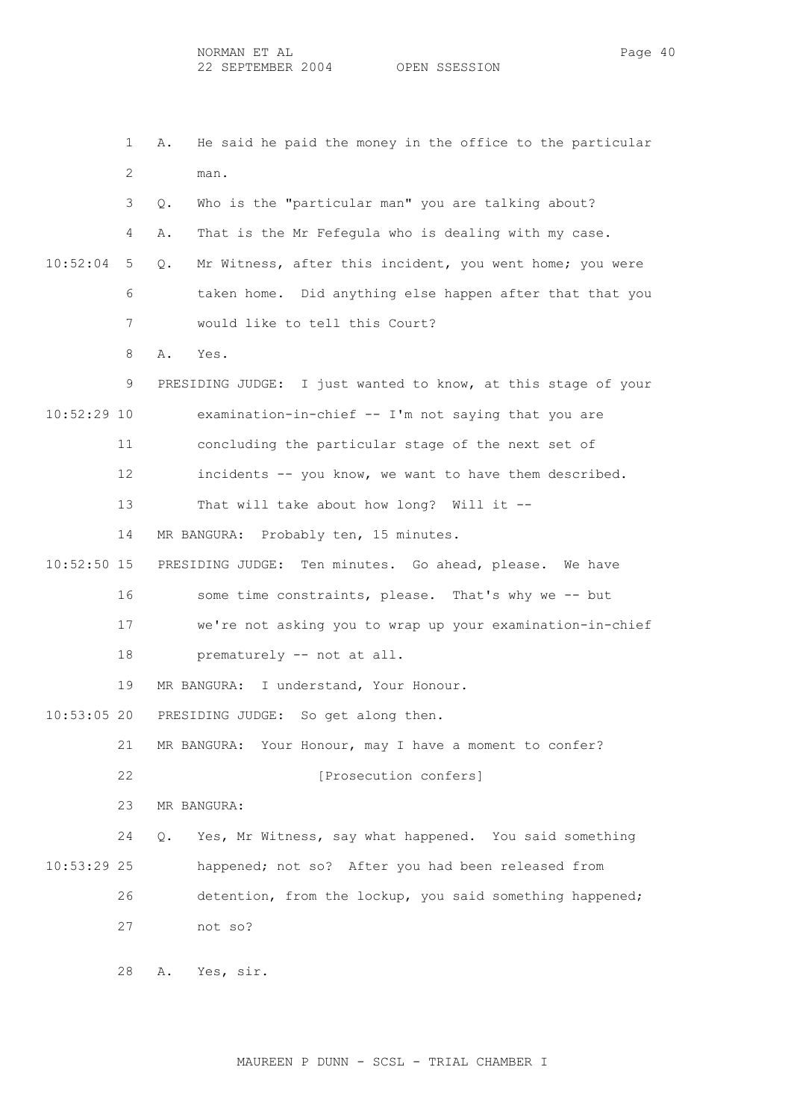1 A. He said he paid the money in the office to the particular 2 man. 3 Q. Who is the "particular man" you are talking about? 4 A. That is the Mr Fefegula who is dealing with my case. 10:52:04 5 Q. Mr Witness, after this incident, you went home; you were 6 taken home. Did anything else happen after that that you 7 would like to tell this Court? 8 A. Yes. 9 PRESIDING JUDGE: I just wanted to know, at this stage of your 10:52:29 10 examination-in-chief -- I'm not saying that you are 11 concluding the particular stage of the next set of 12 incidents -- you know, we want to have them described. 13 That will take about how long? Will it -- 14 MR BANGURA: Probably ten, 15 minutes. 10:52:50 15 PRESIDING JUDGE: Ten minutes. Go ahead, please. We have 16 some time constraints, please. That's why we -- but 17 we're not asking you to wrap up your examination-in-chief 18 prematurely -- not at all. 19 MR BANGURA: I understand, Your Honour. 10:53:05 20 PRESIDING JUDGE: So get along then. 21 MR BANGURA: Your Honour, may I have a moment to confer? 22 **[Prosecution confers]**  23 MR BANGURA: 24 Q. Yes, Mr Witness, say what happened. You said something 10:53:29 25 happened; not so? After you had been released from 26 detention, from the lockup, you said something happened; 27 not so?

28 A. Yes, sir.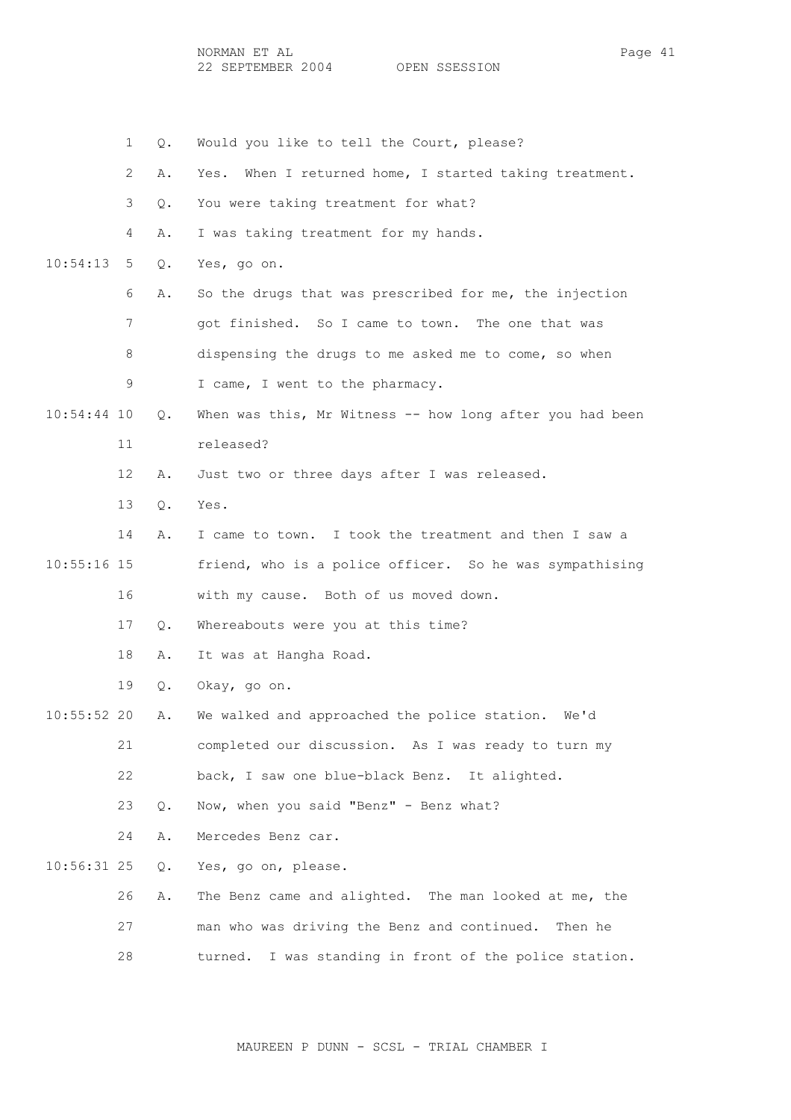1 Q. Would you like to tell the Court, please? 2 A. Yes. When I returned home, I started taking treatment. 3 Q. You were taking treatment for what? 4 A. I was taking treatment for my hands. 10:54:13 5 Q. Yes, go on. 6 A. So the drugs that was prescribed for me, the injection 7 got finished. So I came to town. The one that was 8 dispensing the drugs to me asked me to come, so when 9 I came, I went to the pharmacy. 10:54:44 10 Q. When was this, Mr Witness -- how long after you had been 11 released? 12 A. Just two or three days after I was released. 13 Q. Yes. 14 A. I came to town. I took the treatment and then I saw a 10:55:16 15 friend, who is a police officer. So he was sympathising 16 with my cause. Both of us moved down. 17 Q. Whereabouts were you at this time? 18 A. It was at Hangha Road. 19 Q. Okay, go on. 10:55:52 20 A. We walked and approached the police station. We'd 21 completed our discussion. As I was ready to turn my 22 back, I saw one blue-black Benz. It alighted. 23 Q. Now, when you said "Benz" - Benz what? 24 A. Mercedes Benz car. 10:56:31 25 Q. Yes, go on, please. 26 A. The Benz came and alighted. The man looked at me, the 27 man who was driving the Benz and continued. Then he 28 turned. I was standing in front of the police station.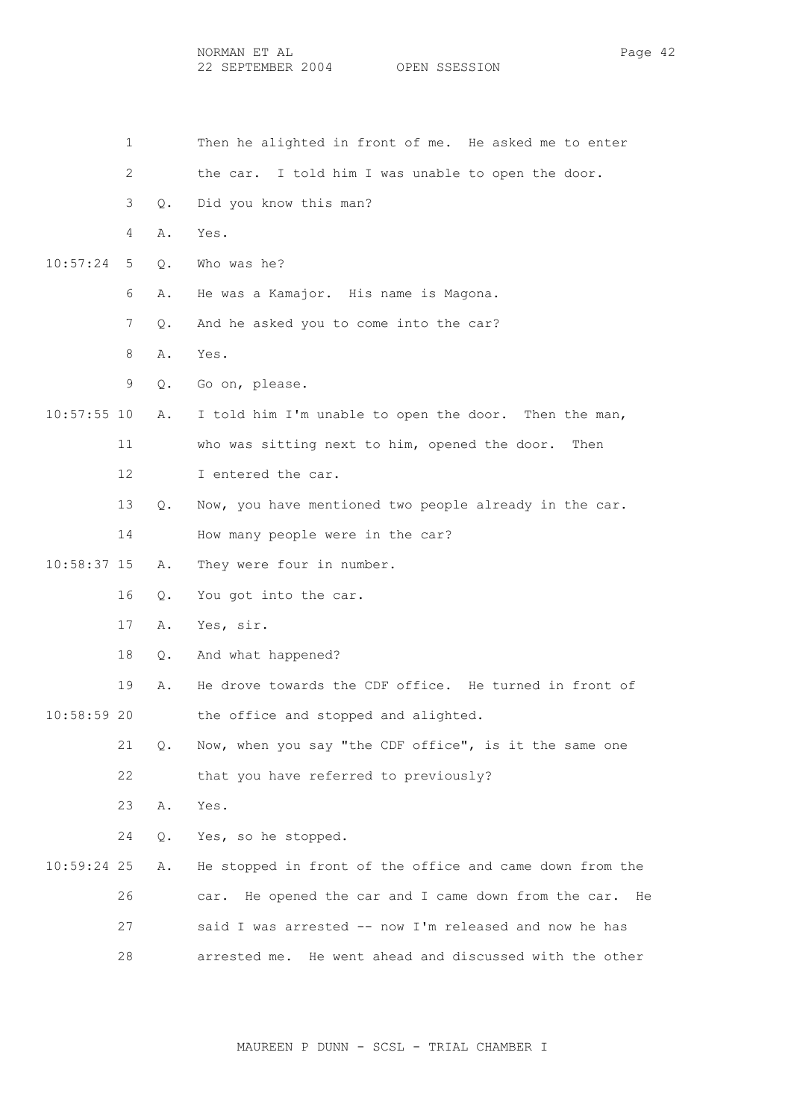NORMAN ET AL Page 42 22 SEPTEMBER 2004 OPEN SSESSION

 1 Then he alighted in front of me. He asked me to enter 2 the car. I told him I was unable to open the door. 3 Q. Did you know this man? 4 A. Yes. 10:57:24 5 Q. Who was he? 6 A. He was a Kamajor. His name is Magona. 7 Q. And he asked you to come into the car? 8 A. Yes. 9 Q. Go on, please. 10:57:55 10 A. I told him I'm unable to open the door. Then the man, 11 who was sitting next to him, opened the door. Then 12 I entered the car. 13 Q. Now, you have mentioned two people already in the car. 14 How many people were in the car? 10:58:37 15 A. They were four in number. 16 Q. You got into the car. 17 A. Yes, sir. 18 Q. And what happened? 19 A. He drove towards the CDF office. He turned in front of 10:58:59 20 the office and stopped and alighted. 21 Q. Now, when you say "the CDF office", is it the same one 22 that you have referred to previously? 23 A. Yes. 24 Q. Yes, so he stopped. 10:59:24 25 A. He stopped in front of the office and came down from the 26 car. He opened the car and I came down from the car. He 27 said I was arrested -- now I'm released and now he has 28 arrested me. He went ahead and discussed with the other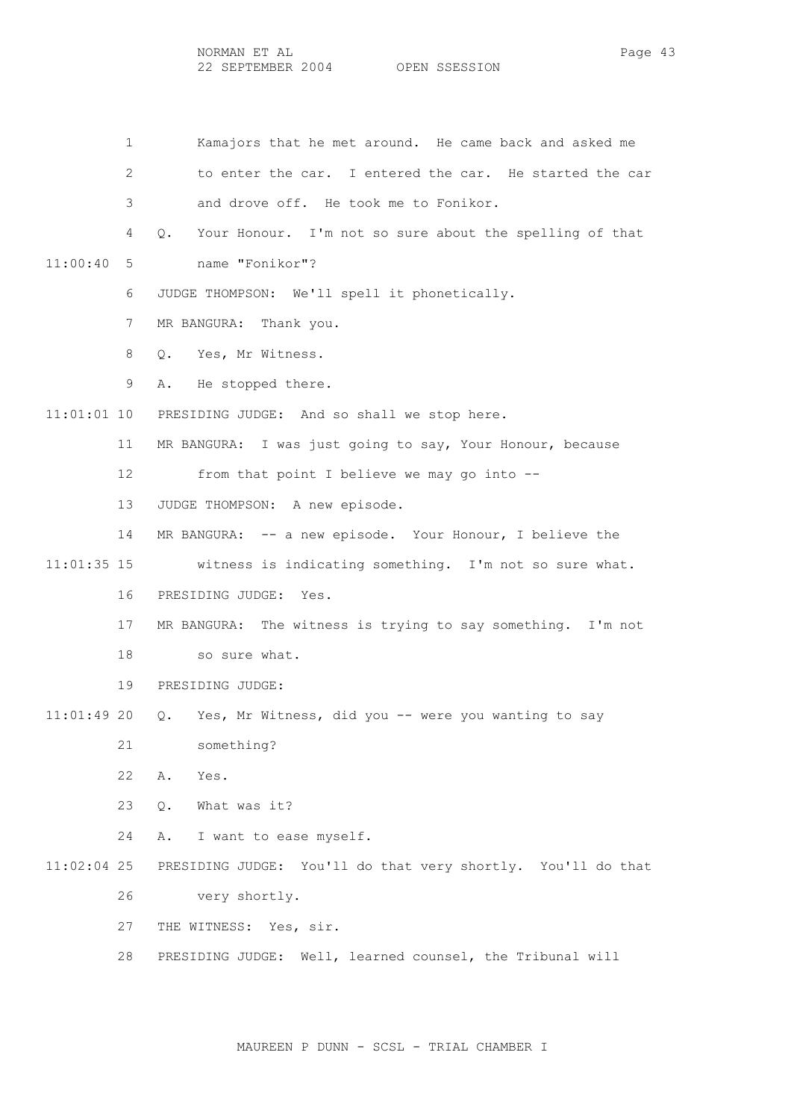1 Kamajors that he met around. He came back and asked me 2 to enter the car. I entered the car. He started the car 3 and drove off. He took me to Fonikor. 4 Q. Your Honour. I'm not so sure about the spelling of that 11:00:40 5 name "Fonikor"? 6 JUDGE THOMPSON: We'll spell it phonetically. 7 MR BANGURA: Thank you. 8 Q. Yes, Mr Witness. 9 A. He stopped there. 11:01:01 10 PRESIDING JUDGE: And so shall we stop here. 11 MR BANGURA: I was just going to say, Your Honour, because 12 from that point I believe we may go into -- 13 JUDGE THOMPSON: A new episode. 14 MR BANGURA: -- a new episode. Your Honour, I believe the 11:01:35 15 witness is indicating something. I'm not so sure what. 16 PRESIDING JUDGE: Yes. 17 MR BANGURA: The witness is trying to say something. I'm not 18 so sure what. 19 PRESIDING JUDGE: 11:01:49 20 Q. Yes, Mr Witness, did you -- were you wanting to say 21 something? 22 A. Yes. 23 Q. What was it? 24 A. I want to ease myself. 11:02:04 25 PRESIDING JUDGE: You'll do that very shortly. You'll do that 26 very shortly. 27 THE WITNESS: Yes, sir. 28 PRESIDING JUDGE: Well, learned counsel, the Tribunal will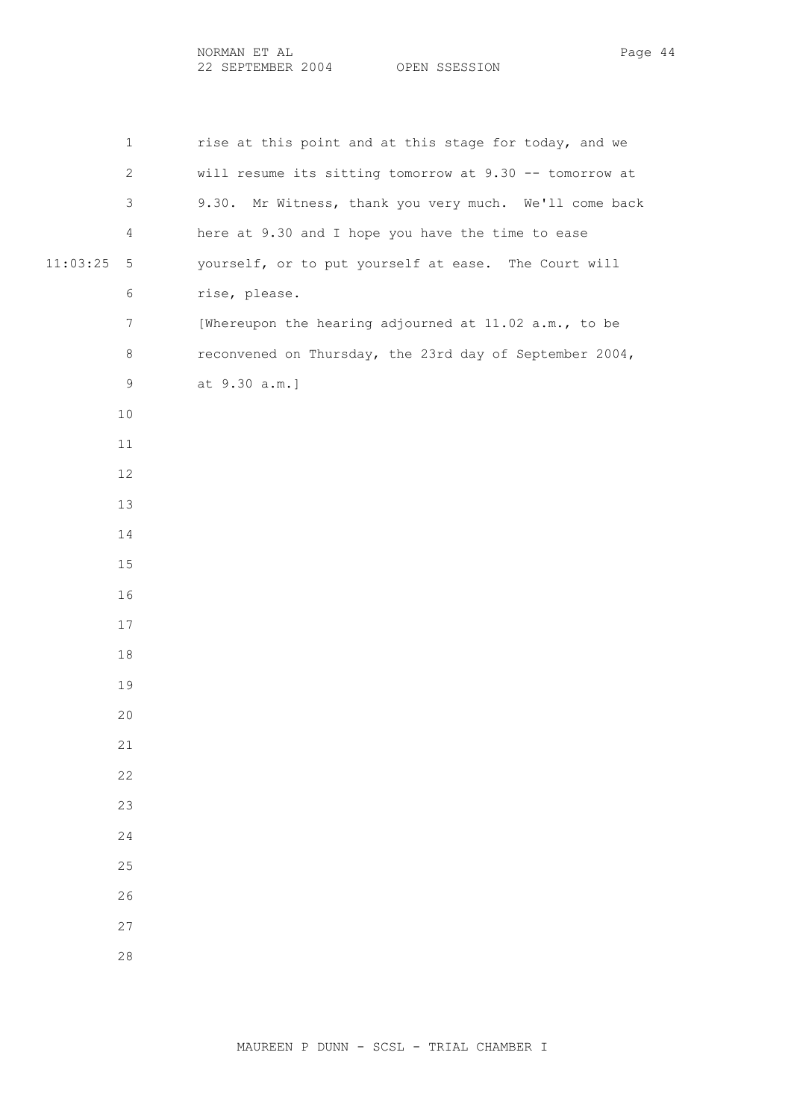| NORMAN ET AI   |               | Page |
|----------------|---------------|------|
| SEPTEMBER 2004 | OPEN SSESSION |      |

1 rise at this point and at this stage for today, and we 2 will resume its sitting tomorrow at 9.30 -- tomorrow at 3 9.30. Mr Witness, thank you very much. We'll come back 4 here at 9.30 and I hope you have the time to ease 11:03:25 5 yourself, or to put yourself at ease. The Court will 6 rise, please. 7 [Whereupon the hearing adjourned at 11.02 a.m., to be 8 reconvened on Thursday, the 23rd day of September 2004, 9 at 9.30 a.m.]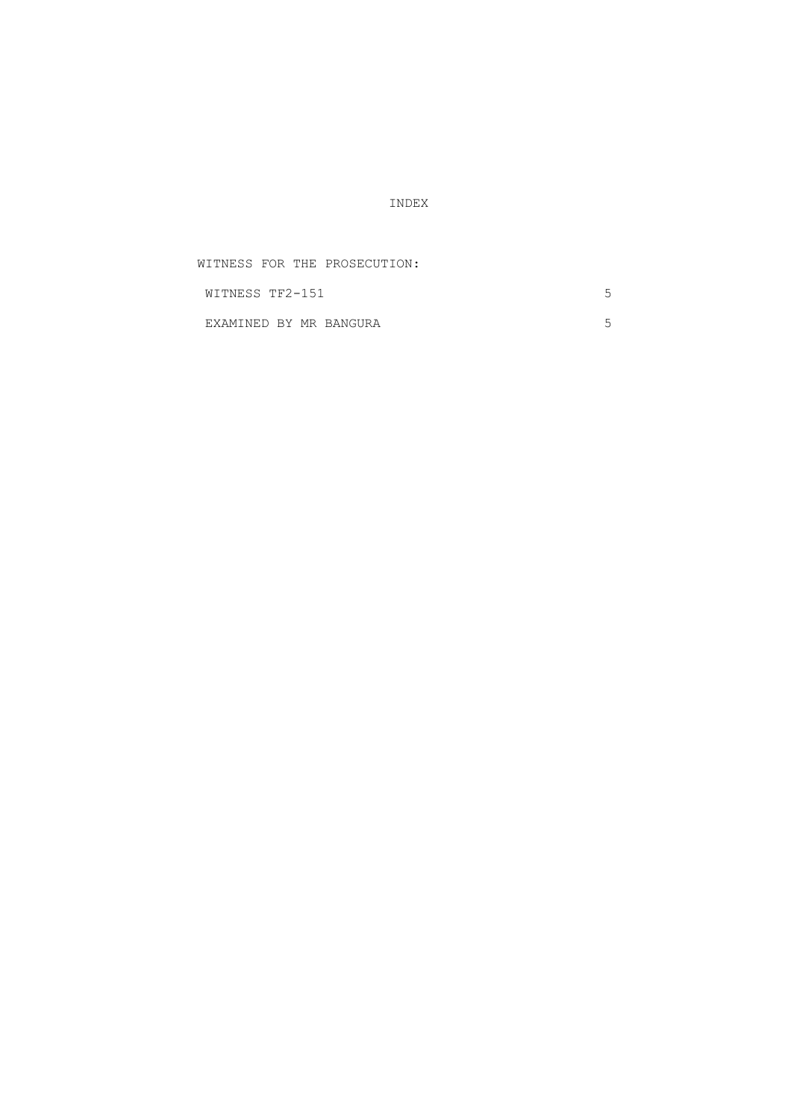INDEX

| WITNESS FOR THE PROSECUTION: |  |
|------------------------------|--|
| WITNESS TF2-151              |  |
| EXAMINED BY MR BANGURA       |  |